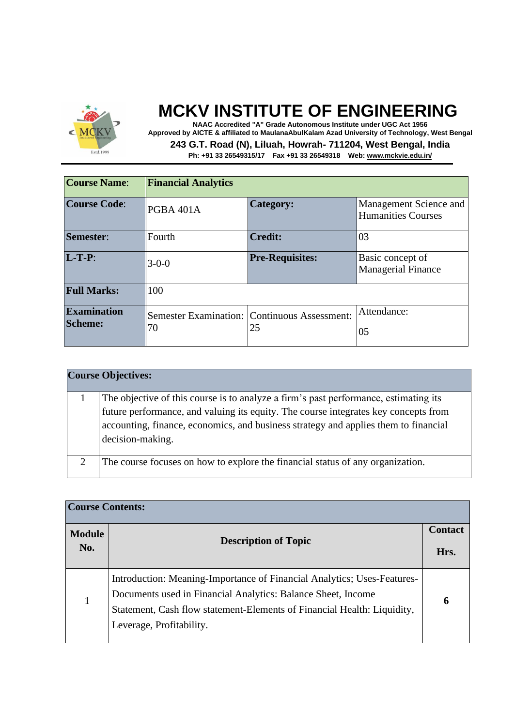

**NAAC Accredited "A" Grade Autonomous Institute under UGC Act 1956 Approved by AICTE & affiliated to MaulanaAbulKalam Azad University of Technology, West Bengal 243 G.T. Road (N), Liluah, Howrah- 711204, West Bengal, India**

| <b>Course Name:</b>                  | <b>Financial Analytics</b> |                                                    |                                                     |  |
|--------------------------------------|----------------------------|----------------------------------------------------|-----------------------------------------------------|--|
| <b>Course Code:</b>                  | PGBA 401A                  | <b>Category:</b>                                   | Management Science and<br><b>Humanities Courses</b> |  |
| Semester:                            | Fourth                     | <b>Credit:</b>                                     | 03                                                  |  |
| $L-T-P$ :                            | $3 - 0 - 0$                | <b>Pre-Requisites:</b>                             | Basic concept of<br><b>Managerial Finance</b>       |  |
| <b>Full Marks:</b>                   | 100                        |                                                    |                                                     |  |
| <b>Examination</b><br><b>Scheme:</b> | 70                         | Semester Examination: Continuous Assessment:<br>25 | Attendance:                                         |  |
|                                      |                            |                                                    | 05                                                  |  |

|   | <b>Course Objectives:</b>                                                                                                                                                                                                                                                              |
|---|----------------------------------------------------------------------------------------------------------------------------------------------------------------------------------------------------------------------------------------------------------------------------------------|
|   | The objective of this course is to analyze a firm's past performance, estimating its<br>future performance, and valuing its equity. The course integrates key concepts from<br>accounting, finance, economics, and business strategy and applies them to financial<br>decision-making. |
| 2 | The course focuses on how to explore the financial status of any organization.                                                                                                                                                                                                         |

| <b>Course Contents:</b> |                                                                                                                                                                                                                                                |   |  |
|-------------------------|------------------------------------------------------------------------------------------------------------------------------------------------------------------------------------------------------------------------------------------------|---|--|
| <b>Module</b>           | <b>Description of Topic</b>                                                                                                                                                                                                                    |   |  |
| No.                     |                                                                                                                                                                                                                                                |   |  |
| 1                       | Introduction: Meaning-Importance of Financial Analytics; Uses-Features-<br>Documents used in Financial Analytics: Balance Sheet, Income<br>Statement, Cash flow statement-Elements of Financial Health: Liquidity,<br>Leverage, Profitability. | 6 |  |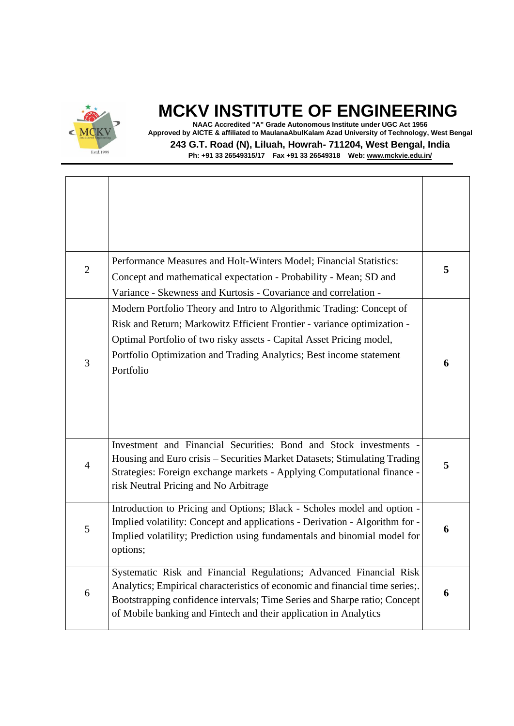

**NAAC Accredited "A" Grade Autonomous Institute under UGC Act 1956 Approved by AICTE & affiliated to MaulanaAbulKalam Azad University of Technology, West Bengal 243 G.T. Road (N), Liluah, Howrah- 711204, West Bengal, India**

| $\overline{2}$ | Performance Measures and Holt-Winters Model; Financial Statistics:<br>Concept and mathematical expectation - Probability - Mean; SD and<br>Variance - Skewness and Kurtosis - Covariance and correlation -                                                                                                  | 5 |
|----------------|-------------------------------------------------------------------------------------------------------------------------------------------------------------------------------------------------------------------------------------------------------------------------------------------------------------|---|
| 3              | Modern Portfolio Theory and Intro to Algorithmic Trading: Concept of<br>Risk and Return; Markowitz Efficient Frontier - variance optimization -<br>Optimal Portfolio of two risky assets - Capital Asset Pricing model,<br>Portfolio Optimization and Trading Analytics; Best income statement<br>Portfolio | 6 |
| $\overline{4}$ | Investment and Financial Securities: Bond and Stock investments -<br>Housing and Euro crisis - Securities Market Datasets; Stimulating Trading<br>Strategies: Foreign exchange markets - Applying Computational finance -<br>risk Neutral Pricing and No Arbitrage                                          | 5 |
| 5              | Introduction to Pricing and Options; Black - Scholes model and option -<br>Implied volatility: Concept and applications - Derivation - Algorithm for -<br>Implied volatility; Prediction using fundamentals and binomial model for<br>options;                                                              | 6 |
| 6              | Systematic Risk and Financial Regulations; Advanced Financial Risk<br>Analytics; Empirical characteristics of economic and financial time series;.<br>Bootstrapping confidence intervals; Time Series and Sharpe ratio; Concept<br>of Mobile banking and Fintech and their application in Analytics         | 6 |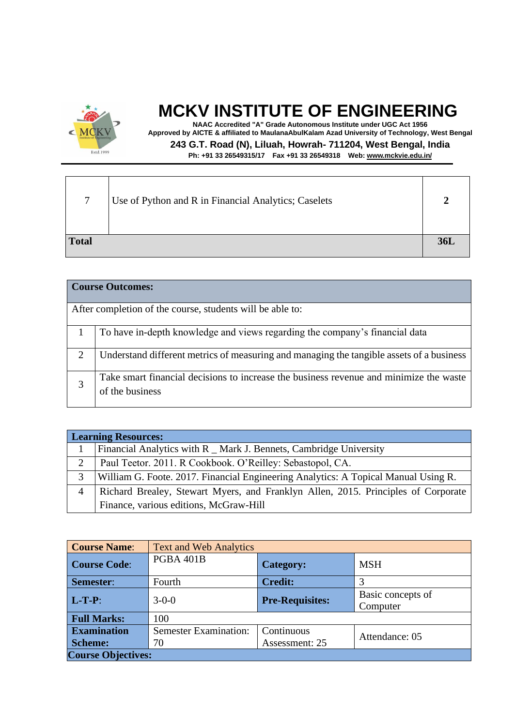

**NAAC Accredited "A" Grade Autonomous Institute under UGC Act 1956 Approved by AICTE & affiliated to MaulanaAbulKalam Azad University of Technology, West Bengal 243 G.T. Road (N), Liluah, Howrah- 711204, West Bengal, India Ph: +91 33 26549315/17 Fax +91 33 26549318 Web: [www.mckvie.edu.in/](http://www.mckvie.edu.in/)**

7 Use of Python and R in Financial Analytics; Caselets **2 Total 36L**

|   | <b>Course Outcomes:</b>                                                                  |  |  |  |  |
|---|------------------------------------------------------------------------------------------|--|--|--|--|
|   |                                                                                          |  |  |  |  |
|   | After completion of the course, students will be able to:                                |  |  |  |  |
|   |                                                                                          |  |  |  |  |
|   | To have in-depth knowledge and views regarding the company's financial data              |  |  |  |  |
|   |                                                                                          |  |  |  |  |
| 2 | Understand different metrics of measuring and managing the tangible assets of a business |  |  |  |  |
|   |                                                                                          |  |  |  |  |
|   | Take smart financial decisions to increase the business revenue and minimize the waste   |  |  |  |  |
| 3 | of the business                                                                          |  |  |  |  |
|   |                                                                                          |  |  |  |  |
|   |                                                                                          |  |  |  |  |

|   | <b>Learning Resources:</b>                                                         |  |  |
|---|------------------------------------------------------------------------------------|--|--|
|   | Financial Analytics with R _ Mark J. Bennets, Cambridge University                 |  |  |
| 2 | Paul Teetor. 2011. R Cookbook. O'Reilley: Sebastopol, CA.                          |  |  |
| 3 | William G. Foote. 2017. Financial Engineering Analytics: A Topical Manual Using R. |  |  |
| 4 | Richard Brealey, Stewart Myers, and Franklyn Allen, 2015. Principles of Corporate  |  |  |
|   | Finance, various editions, McGraw-Hill                                             |  |  |

| <b>Course Name:</b>       | <b>Text and Web Analytics</b> |                        |                               |
|---------------------------|-------------------------------|------------------------|-------------------------------|
| <b>Course Code:</b>       | PGBA 401B                     | <b>Category:</b>       | <b>MSH</b>                    |
| Semester:                 | Fourth                        | <b>Credit:</b>         |                               |
| $L-T-P$ :                 | $3 - 0 - 0$                   | <b>Pre-Requisites:</b> | Basic concepts of<br>Computer |
| <b>Full Marks:</b>        | 100                           |                        |                               |
| <b>Examination</b>        | <b>Semester Examination:</b>  | Continuous             | Attendance: 05                |
| <b>Scheme:</b>            | 70                            | Assessment: 25         |                               |
| <b>Course Objectives:</b> |                               |                        |                               |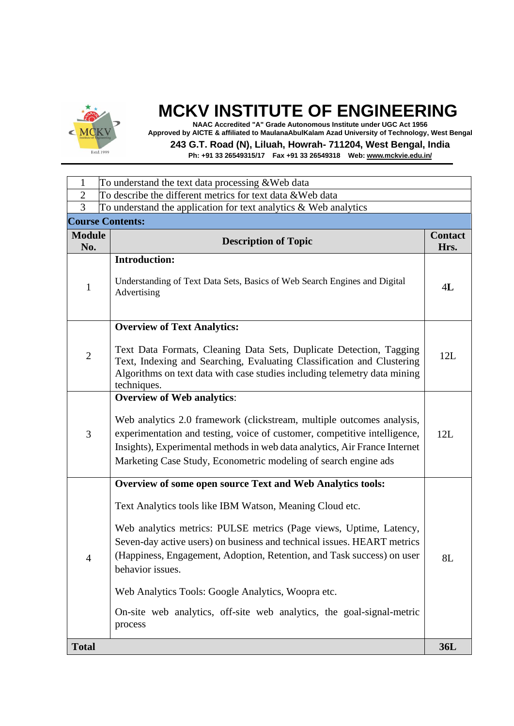

**NAAC Accredited "A" Grade Autonomous Institute under UGC Act 1956 Approved by AICTE & affiliated to MaulanaAbulKalam Azad University of Technology, West Bengal**

**243 G.T. Road (N), Liluah, Howrah- 711204, West Bengal, India**

| 1                    | To understand the text data processing & Web data                                                                                                                                                                                                                                                                                                                                                                                                                                                                      |                        |  |
|----------------------|------------------------------------------------------------------------------------------------------------------------------------------------------------------------------------------------------------------------------------------------------------------------------------------------------------------------------------------------------------------------------------------------------------------------------------------------------------------------------------------------------------------------|------------------------|--|
| $\overline{2}$       | To describe the different metrics for text data & Web data                                                                                                                                                                                                                                                                                                                                                                                                                                                             |                        |  |
| 3                    | To understand the application for text analytics & Web analytics                                                                                                                                                                                                                                                                                                                                                                                                                                                       |                        |  |
|                      | <b>Course Contents:</b>                                                                                                                                                                                                                                                                                                                                                                                                                                                                                                |                        |  |
| <b>Module</b><br>No. | <b>Description of Topic</b>                                                                                                                                                                                                                                                                                                                                                                                                                                                                                            | <b>Contact</b><br>Hrs. |  |
| $\mathbf{1}$         | <b>Introduction:</b><br>Understanding of Text Data Sets, Basics of Web Search Engines and Digital<br>Advertising                                                                                                                                                                                                                                                                                                                                                                                                       | 4L                     |  |
| $\mathfrak{2}$       | <b>Overview of Text Analytics:</b><br>Text Data Formats, Cleaning Data Sets, Duplicate Detection, Tagging<br>Text, Indexing and Searching, Evaluating Classification and Clustering<br>Algorithms on text data with case studies including telemetry data mining<br>techniques.                                                                                                                                                                                                                                        | 12L                    |  |
| 3                    | <b>Overview of Web analytics:</b><br>Web analytics 2.0 framework (clickstream, multiple outcomes analysis,<br>experimentation and testing, voice of customer, competitive intelligence,<br>Insights), Experimental methods in web data analytics, Air France Internet<br>Marketing Case Study, Econometric modeling of search engine ads                                                                                                                                                                               | 12L                    |  |
| 4                    | <b>Overview of some open source Text and Web Analytics tools:</b><br>Text Analytics tools like IBM Watson, Meaning Cloud etc.<br>Web analytics metrics: PULSE metrics (Page views, Uptime, Latency,<br>Seven-day active users) on business and technical issues. HEART metrics<br>(Happiness, Engagement, Adoption, Retention, and Task success) on user<br>behavior issues.<br>Web Analytics Tools: Google Analytics, Woopra etc.<br>On-site web analytics, off-site web analytics, the goal-signal-metric<br>process | 8L                     |  |
| <b>Total</b>         |                                                                                                                                                                                                                                                                                                                                                                                                                                                                                                                        | <b>36L</b>             |  |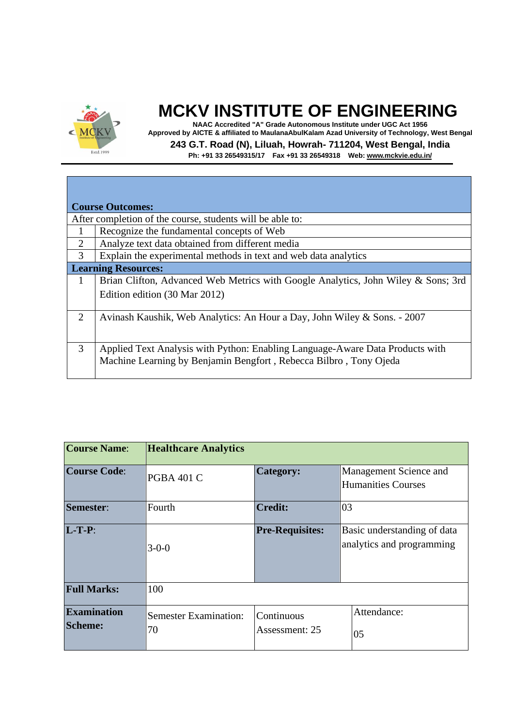

**NAAC Accredited "A" Grade Autonomous Institute under UGC Act 1956 Approved by AICTE & affiliated to MaulanaAbulKalam Azad University of Technology, West Bengal 243 G.T. Road (N), Liluah, Howrah- 711204, West Bengal, India**

|              | <b>Course Outcomes:</b>                                                           |  |  |  |
|--------------|-----------------------------------------------------------------------------------|--|--|--|
|              | After completion of the course, students will be able to:                         |  |  |  |
| $\mathbf{1}$ | Recognize the fundamental concepts of Web                                         |  |  |  |
| 2            | Analyze text data obtained from different media                                   |  |  |  |
| 3            | Explain the experimental methods in text and web data analytics                   |  |  |  |
|              | <b>Learning Resources:</b>                                                        |  |  |  |
| $\mathbf{1}$ | Brian Clifton, Advanced Web Metrics with Google Analytics, John Wiley & Sons; 3rd |  |  |  |
|              | Edition edition (30 Mar 2012)                                                     |  |  |  |
|              |                                                                                   |  |  |  |
| 2            | Avinash Kaushik, Web Analytics: An Hour a Day, John Wiley & Sons. - 2007          |  |  |  |
|              |                                                                                   |  |  |  |
| 3            | Applied Text Analysis with Python: Enabling Language-Aware Data Products with     |  |  |  |
|              | Machine Learning by Benjamin Bengfort, Rebecca Bilbro, Tony Ojeda                 |  |  |  |
|              |                                                                                   |  |  |  |
|              |                                                                                   |  |  |  |

| <b>Course Name:</b>                  | <b>Healthcare Analytics</b>        |                              |                                                          |  |  |
|--------------------------------------|------------------------------------|------------------------------|----------------------------------------------------------|--|--|
| <b>Course Code:</b>                  | <b>PGBA 401 C</b>                  | Category:                    | Management Science and<br><b>Humanities Courses</b>      |  |  |
| Semester:                            | Fourth                             | <b>Credit:</b>               | 03                                                       |  |  |
| $L-T-P$ :                            | $3 - 0 - 0$                        | <b>Pre-Requisites:</b>       | Basic understanding of data<br>analytics and programming |  |  |
| <b>Full Marks:</b>                   | 100                                |                              |                                                          |  |  |
| <b>Examination</b><br><b>Scheme:</b> | <b>Semester Examination:</b><br>70 | Continuous<br>Assessment: 25 | Attendance:<br>05                                        |  |  |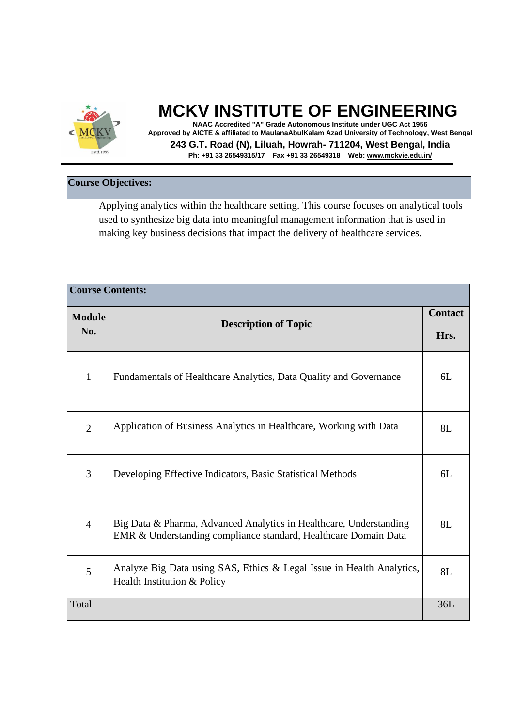

**NAAC Accredited "A" Grade Autonomous Institute under UGC Act 1956 Approved by AICTE & affiliated to MaulanaAbulKalam Azad University of Technology, West Bengal 243 G.T. Road (N), Liluah, Howrah- 711204, West Bengal, India Ph: +91 33 26549315/17 Fax +91 33 26549318 Web: [www.mckvie.edu.in/](http://www.mckvie.edu.in/)**

| <b>Course Objectives:</b> |                                                                                           |  |  |  |
|---------------------------|-------------------------------------------------------------------------------------------|--|--|--|
|                           |                                                                                           |  |  |  |
|                           | Applying analytics within the healthcare setting. This course focuses on analytical tools |  |  |  |
|                           | used to synthesize big data into meaningful management information that is used in        |  |  |  |
|                           | making key business decisions that impact the delivery of healthcare services.            |  |  |  |
|                           |                                                                                           |  |  |  |
|                           |                                                                                           |  |  |  |

| <b>Course Contents:</b> |                                                                                                                                       |     |  |
|-------------------------|---------------------------------------------------------------------------------------------------------------------------------------|-----|--|
| <b>Module</b><br>No.    | <b>Description of Topic</b>                                                                                                           |     |  |
| $\mathbf{1}$            | Fundamentals of Healthcare Analytics, Data Quality and Governance                                                                     | 6L  |  |
| $\overline{2}$          | Application of Business Analytics in Healthcare, Working with Data                                                                    | 8L  |  |
| 3                       | Developing Effective Indicators, Basic Statistical Methods                                                                            | 6L  |  |
| $\overline{4}$          | Big Data & Pharma, Advanced Analytics in Healthcare, Understanding<br>EMR & Understanding compliance standard, Healthcare Domain Data | 8L  |  |
| 5                       | Analyze Big Data using SAS, Ethics & Legal Issue in Health Analytics,<br>Health Institution & Policy                                  | 8L  |  |
| Total                   |                                                                                                                                       | 36L |  |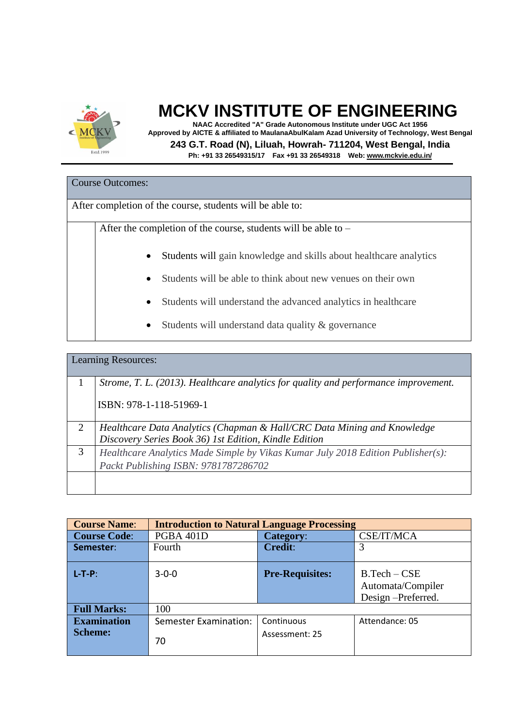

**NAAC Accredited "A" Grade Autonomous Institute under UGC Act 1956 Approved by AICTE & affiliated to MaulanaAbulKalam Azad University of Technology, West Bengal 243 G.T. Road (N), Liluah, Howrah- 711204, West Bengal, India Ph: +91 33 26549315/17 Fax +91 33 26549318 Web: [www.mckvie.edu.in/](http://www.mckvie.edu.in/)**

#### Course Outcomes:

After completion of the course, students will be able to:

After the completion of the course, students will be able to –

- Students will gain knowledge and skills about healthcare analytics
- Students will be able to think about new venues on their own
- Students will understand the advanced analytics in healthcare
- Students will understand data quality & governance

|   | <b>Learning Resources:</b>                                                          |
|---|-------------------------------------------------------------------------------------|
|   | Strome, T. L. (2013). Healthcare analytics for quality and performance improvement. |
|   | ISBN: 978-1-118-51969-1                                                             |
| 2 | Healthcare Data Analytics (Chapman & Hall/CRC Data Mining and Knowledge             |
|   | Discovery Series Book 36) 1st Edition, Kindle Edition                               |
| 3 | Healthcare Analytics Made Simple by Vikas Kumar July 2018 Edition Publisher(s):     |
|   | Packt Publishing ISBN: 9781787286702                                                |
|   |                                                                                     |
|   |                                                                                     |

| <b>Course Name:</b>                  | <b>Introduction to Natural Language Processing</b> |                              |                                                          |
|--------------------------------------|----------------------------------------------------|------------------------------|----------------------------------------------------------|
| <b>Course Code:</b>                  | PGBA 401D                                          | <b>Category:</b>             | CSE/IT/MCA                                               |
| Semester:                            | Fourth                                             | <b>Credit:</b>               | 3                                                        |
| $L-T-P$ :                            | $3 - 0 - 0$                                        | <b>Pre-Requisites:</b>       | $B.Tech - CSE$<br>Automata/Compiler<br>Design-Preferred. |
| <b>Full Marks:</b>                   | 100                                                |                              |                                                          |
| <b>Examination</b><br><b>Scheme:</b> | <b>Semester Examination:</b><br>70                 | Continuous<br>Assessment: 25 | Attendance: 05                                           |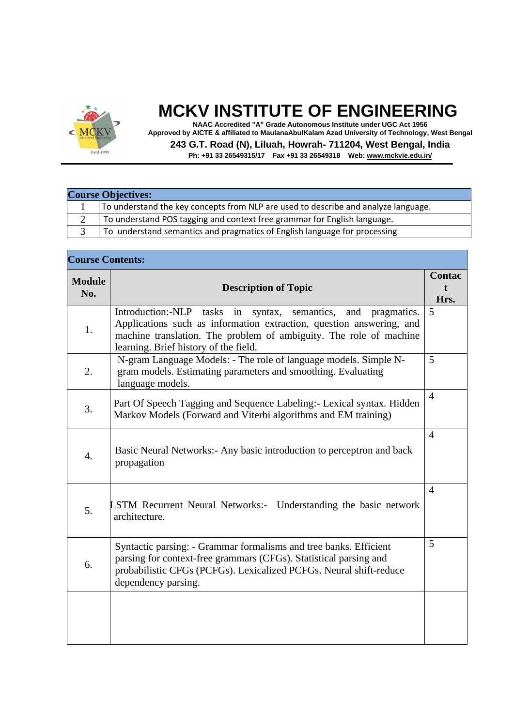

**NAAC Accredited "A" Grade Autonomous Institute under UGC Act 1956 Approved by AICTE & affiliated to MaulanaAbulKalam Azad University of Technology, West Bengal 243 G.T. Road (N), Liluah, Howrah- 711204, West Bengal, India**

| <b>Course Objectives:</b> |                                                                                    |
|---------------------------|------------------------------------------------------------------------------------|
|                           | To understand the key concepts from NLP are used to describe and analyze language. |
|                           | To understand POS tagging and context free grammar for English language.           |
|                           | To understand semantics and pragmatics of English language for processing          |

| <b>Course Contents:</b> |                                                                                                                                                                                                                                                               |                       |
|-------------------------|---------------------------------------------------------------------------------------------------------------------------------------------------------------------------------------------------------------------------------------------------------------|-----------------------|
| <b>Module</b><br>No.    | <b>Description of Topic</b>                                                                                                                                                                                                                                   | <b>Contac</b><br>Hrs. |
| 1.                      | Introduction:-NLP tasks in<br>syntax, semantics,<br>and<br>pragmatics.<br>Applications such as information extraction, question answering, and<br>machine translation. The problem of ambiguity. The role of machine<br>learning. Brief history of the field. | 5                     |
| 2.                      | N-gram Language Models: - The role of language models. Simple N-<br>gram models. Estimating parameters and smoothing. Evaluating<br>language models.                                                                                                          | 5                     |
| 3.                      | Part Of Speech Tagging and Sequence Labeling: - Lexical syntax. Hidden<br>Markov Models (Forward and Viterbi algorithms and EM training)                                                                                                                      | $\overline{4}$        |
| $\overline{4}$ .        | Basic Neural Networks: - Any basic introduction to perceptron and back<br>propagation                                                                                                                                                                         | $\overline{4}$        |
| 5.                      | <b>LSTM Recurrent Neural Networks:-</b> Understanding the basic network<br>architecture.                                                                                                                                                                      | $\overline{4}$        |
| 6.                      | Syntactic parsing: - Grammar formalisms and tree banks. Efficient<br>parsing for context-free grammars (CFGs). Statistical parsing and<br>probabilistic CFGs (PCFGs). Lexicalized PCFGs. Neural shift-reduce<br>dependency parsing.                           | 5                     |
|                         |                                                                                                                                                                                                                                                               |                       |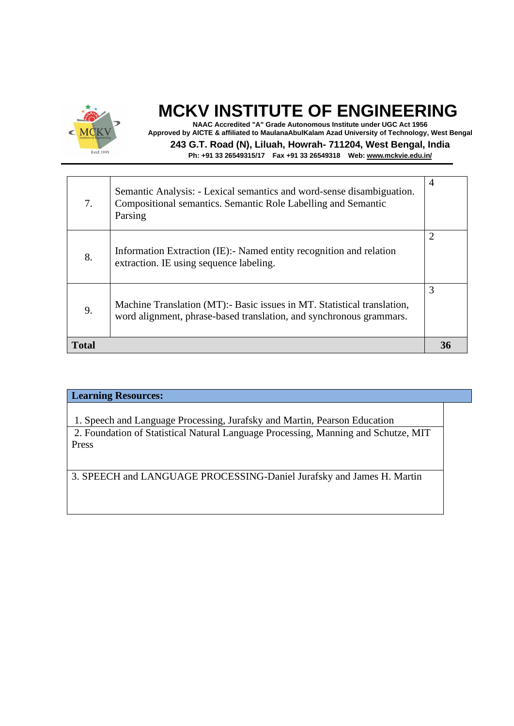

**NAAC Accredited "A" Grade Autonomous Institute under UGC Act 1956 Approved by AICTE & affiliated to MaulanaAbulKalam Azad University of Technology, West Bengal 243 G.T. Road (N), Liluah, Howrah- 711204, West Bengal, India Ph: +91 33 26549315/17 Fax +91 33 26549318 Web: [www.mckvie.edu.in/](http://www.mckvie.edu.in/)**

| <b>Total</b> |                                                                                                                                                   | 36             |
|--------------|---------------------------------------------------------------------------------------------------------------------------------------------------|----------------|
| 9.           | Machine Translation (MT):- Basic issues in MT. Statistical translation,<br>word alignment, phrase-based translation, and synchronous grammars.    | 3              |
| 8.           | Information Extraction (IE): Named entity recognition and relation<br>extraction. IE using sequence labeling.                                     |                |
| 7.           | Semantic Analysis: - Lexical semantics and word-sense disambiguation.<br>Compositional semantics. Semantic Role Labelling and Semantic<br>Parsing | $\overline{4}$ |

| <b>Learning Resources:</b>                                                                                                                                               |  |
|--------------------------------------------------------------------------------------------------------------------------------------------------------------------------|--|
| 1. Speech and Language Processing, Jurafsky and Martin, Pearson Education<br>2. Foundation of Statistical Natural Language Processing, Manning and Schutze, MIT<br>Press |  |
| 3. SPEECH and LANGUAGE PROCESSING-Daniel Jurafsky and James H. Martin                                                                                                    |  |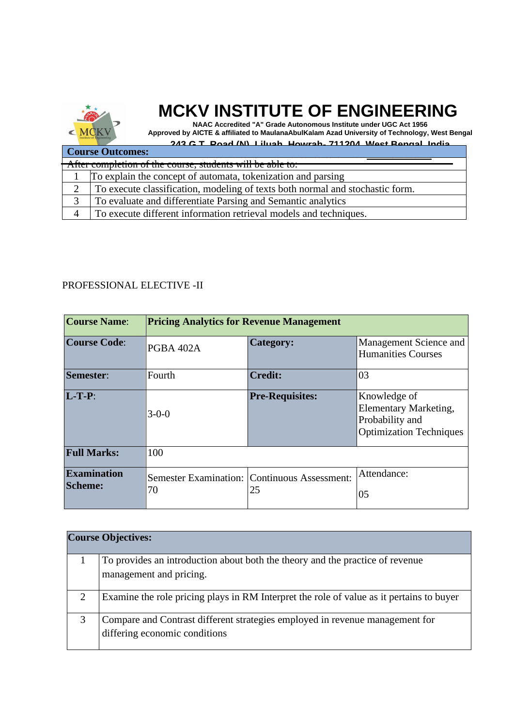

**NAAC Accredited "A" Grade Autonomous Institute under UGC Act 1956 Approved by AICTE & affiliated to MaulanaAbulKalam Azad University of Technology, West Bengal**

|                         | 243 G T Road (N) Liluah Howrah, 711204 West Rengal India                                                                                          |  |
|-------------------------|---------------------------------------------------------------------------------------------------------------------------------------------------|--|
| <b>Course Outcomes:</b> |                                                                                                                                                   |  |
|                         | $\Lambda$ from a grand of $\Lambda$ and $\Lambda$ $\Lambda$ and a grand of $\Lambda$<br>After completion of the course, students will be able to. |  |
|                         | To explain the concept of automata, tokenization and parsing                                                                                      |  |
| $\overline{2}$          | To execute classification, modeling of texts both normal and stochastic form.                                                                     |  |
| 3                       | To evaluate and differentiate Parsing and Semantic analytics                                                                                      |  |
|                         | To execute different information retrieval models and techniques.                                                                                 |  |

#### PROFESSIONAL ELECTIVE -II

| <b>Course Name:</b>                  | <b>Pricing Analytics for Revenue Management</b> |                                                           |                                                                                                   |
|--------------------------------------|-------------------------------------------------|-----------------------------------------------------------|---------------------------------------------------------------------------------------------------|
| <b>Course Code:</b>                  | PGBA 402A                                       | <b>Category:</b>                                          | Management Science and<br><b>Humanities Courses</b>                                               |
| Semester:                            | Fourth                                          | <b>Credit:</b>                                            | 03                                                                                                |
| $L-T-P$ :                            | $3 - 0 - 0$                                     | <b>Pre-Requisites:</b>                                    | Knowledge of<br><b>Elementary Marketing,</b><br>Probability and<br><b>Optimization Techniques</b> |
| <b>Full Marks:</b>                   | 100                                             |                                                           |                                                                                                   |
| <b>Examination</b><br><b>Scheme:</b> | 70                                              | <b>Semester Examination: Continuous Assessment:</b><br>25 | Attendance:<br>05                                                                                 |

|   | <b>Course Objectives:</b>                                                                |
|---|------------------------------------------------------------------------------------------|
|   | To provides an introduction about both the theory and the practice of revenue            |
|   | management and pricing.                                                                  |
| 2 | Examine the role pricing plays in RM Interpret the role of value as it pertains to buyer |
| 3 | Compare and Contrast different strategies employed in revenue management for             |
|   | differing economic conditions                                                            |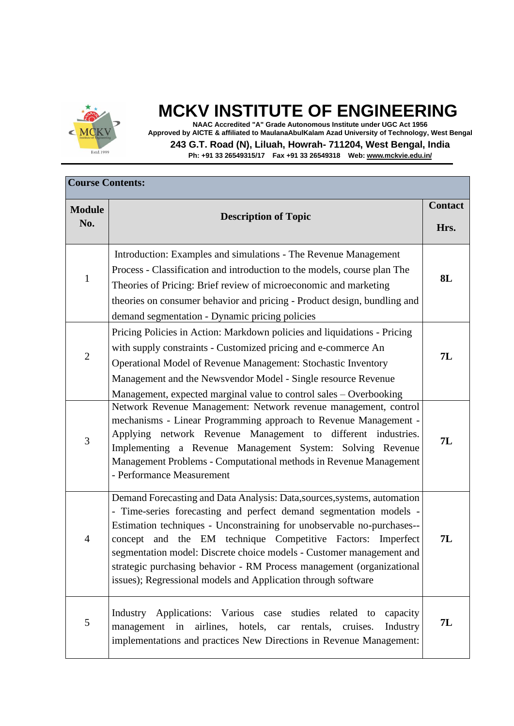

**NAAC Accredited "A" Grade Autonomous Institute under UGC Act 1956 Approved by AICTE & affiliated to MaulanaAbulKalam Azad University of Technology, West Bengal 243 G.T. Road (N), Liluah, Howrah- 711204, West Bengal, India**

| <b>Course Contents:</b> |                                                                                                                                                                                                                                                                                                                                                                                                                                                                                                              |                        |
|-------------------------|--------------------------------------------------------------------------------------------------------------------------------------------------------------------------------------------------------------------------------------------------------------------------------------------------------------------------------------------------------------------------------------------------------------------------------------------------------------------------------------------------------------|------------------------|
| <b>Module</b><br>No.    | <b>Description of Topic</b>                                                                                                                                                                                                                                                                                                                                                                                                                                                                                  | <b>Contact</b><br>Hrs. |
| 1                       | Introduction: Examples and simulations - The Revenue Management<br>Process - Classification and introduction to the models, course plan The<br>Theories of Pricing: Brief review of microeconomic and marketing<br>theories on consumer behavior and pricing - Product design, bundling and<br>demand segmentation - Dynamic pricing policies                                                                                                                                                                | 8L                     |
| $\overline{2}$          | Pricing Policies in Action: Markdown policies and liquidations - Pricing<br>with supply constraints - Customized pricing and e-commerce An<br>Operational Model of Revenue Management: Stochastic Inventory<br>Management and the Newsvendor Model - Single resource Revenue<br>Management, expected marginal value to control sales – Overbooking                                                                                                                                                           | 7L                     |
| 3                       | Network Revenue Management: Network revenue management, control<br>mechanisms - Linear Programming approach to Revenue Management -<br>Applying network Revenue Management to different industries.<br>Implementing a Revenue Management System: Solving Revenue<br>Management Problems - Computational methods in Revenue Management<br>- Performance Measurement                                                                                                                                           | 7L                     |
| $\overline{4}$          | Demand Forecasting and Data Analysis: Data, sources, systems, automation<br>- Time-series forecasting and perfect demand segmentation models -<br>Estimation techniques - Unconstraining for unobservable no-purchases--<br>concept and the EM technique Competitive Factors:<br>Imperfect<br>segmentation model: Discrete choice models - Customer management and<br>strategic purchasing behavior - RM Process management (organizational<br>issues); Regressional models and Application through software | 7L                     |
| 5                       | Applications: Various case studies related to<br>Industry<br>capacity<br>airlines, hotels, car<br>rentals,<br>management<br>cruises.<br>Industry<br>in<br>implementations and practices New Directions in Revenue Management:                                                                                                                                                                                                                                                                                | 7L                     |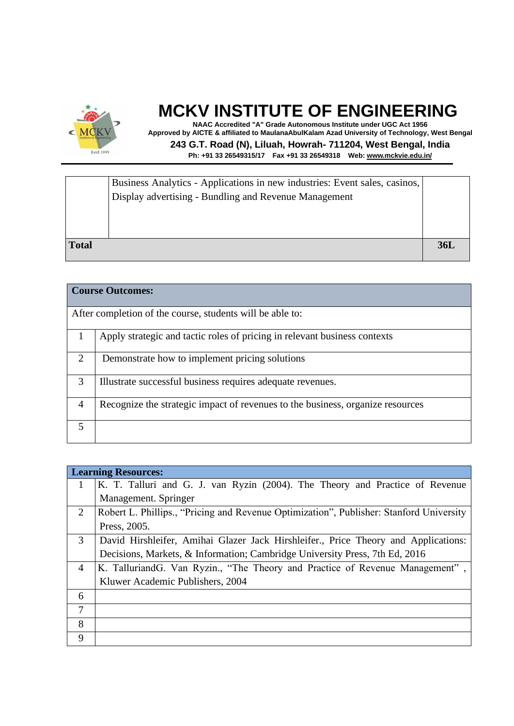

**NAAC Accredited "A" Grade Autonomous Institute under UGC Act 1956 Approved by AICTE & affiliated to MaulanaAbulKalam Azad University of Technology, West Bengal 243 G.T. Road (N), Liluah, Howrah- 711204, West Bengal, India Ph: +91 33 26549315/17 Fax +91 33 26549318 Web: [www.mckvie.edu.in/](http://www.mckvie.edu.in/)**

|              | Business Analytics - Applications in new industries: Event sales, casinos,<br>Display advertising - Bundling and Revenue Management |            |
|--------------|-------------------------------------------------------------------------------------------------------------------------------------|------------|
| <b>Total</b> |                                                                                                                                     | <b>36I</b> |

|                             | <b>Course Outcomes:</b>                                                        |
|-----------------------------|--------------------------------------------------------------------------------|
|                             | After completion of the course, students will be able to:                      |
|                             | Apply strategic and tactic roles of pricing in relevant business contexts      |
| $\mathcal{D}_{\mathcal{L}}$ | Demonstrate how to implement pricing solutions                                 |
| 3                           | Illustrate successful business requires adequate revenues.                     |
| $\overline{4}$              | Recognize the strategic impact of revenues to the business, organize resources |
| 5                           |                                                                                |

|                | <b>Learning Resources:</b>                                                              |
|----------------|-----------------------------------------------------------------------------------------|
|                | K. T. Talluri and G. J. van Ryzin (2004). The Theory and Practice of Revenue            |
|                | Management. Springer                                                                    |
| 2              | Robert L. Phillips., "Pricing and Revenue Optimization", Publisher: Stanford University |
|                | Press, 2005.                                                                            |
| 3              | David Hirshleifer, Amihai Glazer Jack Hirshleifer., Price Theory and Applications:      |
|                | Decisions, Markets, & Information; Cambridge University Press, 7th Ed, 2016             |
| $\overline{4}$ | K. TalluriandG. Van Ryzin., "The Theory and Practice of Revenue Management",            |
|                | Kluwer Academic Publishers, 2004                                                        |
| 6              |                                                                                         |
| $\overline{7}$ |                                                                                         |
| 8              |                                                                                         |
| 9              |                                                                                         |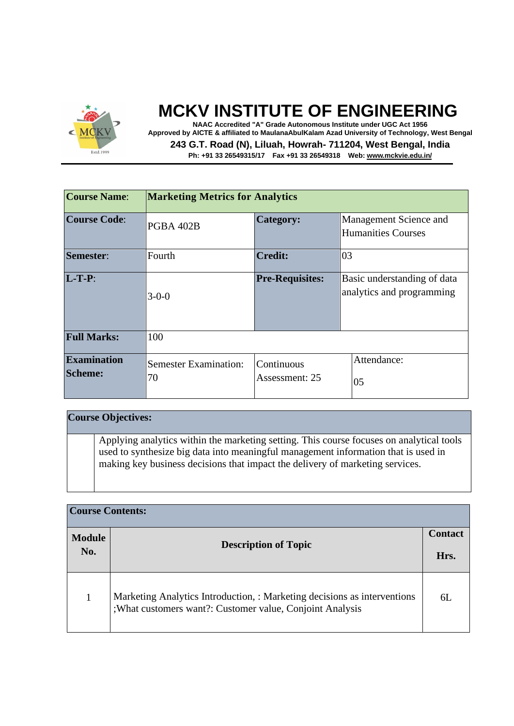

**NAAC Accredited "A" Grade Autonomous Institute under UGC Act 1956 Approved by AICTE & affiliated to MaulanaAbulKalam Azad University of Technology, West Bengal 243 G.T. Road (N), Liluah, Howrah- 711204, West Bengal, India Ph: +91 33 26549315/17 Fax +91 33 26549318 Web: [www.mckvie.edu.in/](http://www.mckvie.edu.in/)**

| <b>Course Name:</b>                  | <b>Marketing Metrics for Analytics</b>                             |                        |                                                          |  |
|--------------------------------------|--------------------------------------------------------------------|------------------------|----------------------------------------------------------|--|
| <b>Course Code:</b>                  | PGBA 402B                                                          | <b>Category:</b>       | Management Science and<br><b>Humanities Courses</b>      |  |
| Semester:                            | Fourth                                                             | <b>Credit:</b>         | 03                                                       |  |
| $L-T-P$ :                            | $3 - 0 - 0$                                                        | <b>Pre-Requisites:</b> | Basic understanding of data<br>analytics and programming |  |
| <b>Full Marks:</b>                   | 100                                                                |                        |                                                          |  |
| <b>Examination</b><br><b>Scheme:</b> | <b>Semester Examination:</b><br>Continuous<br>70<br>Assessment: 25 |                        | Attendance:<br>05                                        |  |

#### **Course Objectives:** Applying analytics within the marketing setting. This course focuses on analytical tools used to synthesize big data into meaningful management information that is used in making key business decisions that impact the delivery of marketing services.

| <b>Course Contents:</b> |                                                                                                                                       |      |  |
|-------------------------|---------------------------------------------------------------------------------------------------------------------------------------|------|--|
| <b>Module</b>           | <b>Description of Topic</b>                                                                                                           |      |  |
|                         | No.                                                                                                                                   | Hrs. |  |
|                         | Marketing Analytics Introduction, : Marketing decisions as interventions<br>; What customers want?: Customer value, Conjoint Analysis | 6L   |  |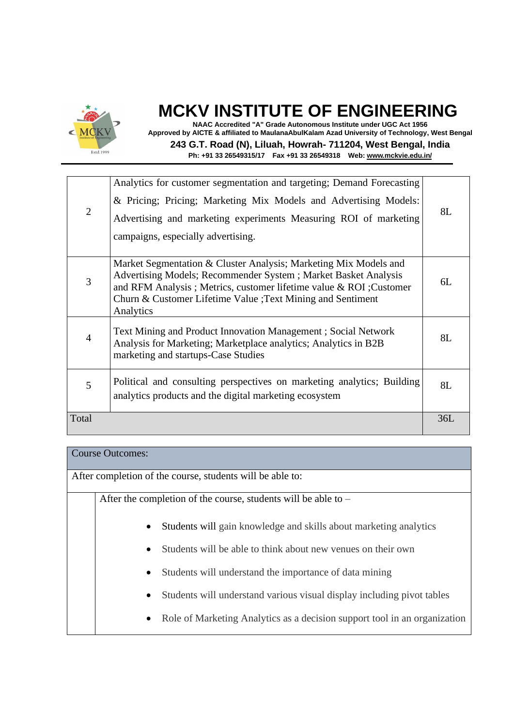

**NAAC Accredited "A" Grade Autonomous Institute under UGC Act 1956 Approved by AICTE & affiliated to MaulanaAbulKalam Azad University of Technology, West Bengal 243 G.T. Road (N), Liluah, Howrah- 711204, West Bengal, India Ph: +91 33 26549315/17 Fax +91 33 26549318 Web: [www.mckvie.edu.in/](http://www.mckvie.edu.in/)**

|                | Analytics for customer segmentation and targeting; Demand Forecasting                                                                                                                                                                                                                |     |
|----------------|--------------------------------------------------------------------------------------------------------------------------------------------------------------------------------------------------------------------------------------------------------------------------------------|-----|
|                | & Pricing; Pricing; Marketing Mix Models and Advertising Models:                                                                                                                                                                                                                     |     |
| 2              | Advertising and marketing experiments Measuring ROI of marketing                                                                                                                                                                                                                     | 8L  |
|                | campaigns, especially advertising.                                                                                                                                                                                                                                                   |     |
|                |                                                                                                                                                                                                                                                                                      |     |
| 3              | Market Segmentation & Cluster Analysis; Marketing Mix Models and<br>Advertising Models; Recommender System; Market Basket Analysis<br>and RFM Analysis; Metrics, customer lifetime value & ROI; Customer<br>Churn & Customer Lifetime Value ; Text Mining and Sentiment<br>Analytics | 6L  |
| $\overline{4}$ | Text Mining and Product Innovation Management; Social Network<br>Analysis for Marketing; Marketplace analytics; Analytics in B2B<br>marketing and startups-Case Studies                                                                                                              | 8L  |
| 5              | Political and consulting perspectives on marketing analytics; Building<br>analytics products and the digital marketing ecosystem                                                                                                                                                     | 8L  |
| Total          |                                                                                                                                                                                                                                                                                      | 36L |

#### Course Outcomes:

After completion of the course, students will be able to:

After the completion of the course, students will be able to –

- Students will gain knowledge and skills about marketing analytics
- Students will be able to think about new venues on their own
- Students will understand the importance of data mining
- Students will understand various visual display including pivot tables
- Role of Marketing Analytics as a decision support tool in an organization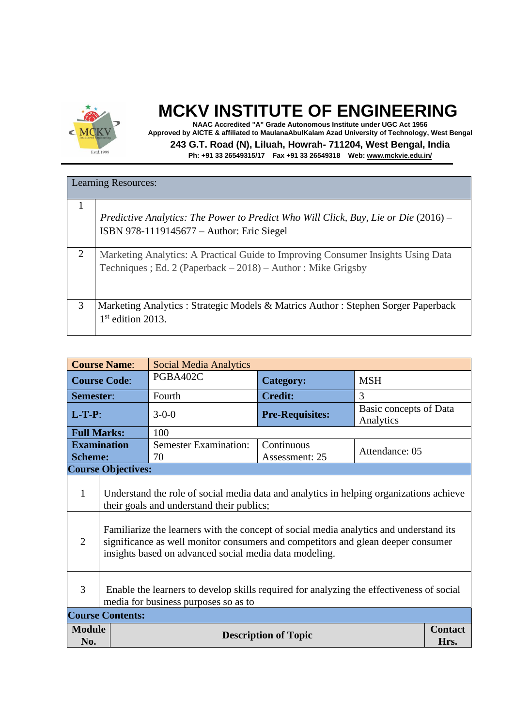

**NAAC Accredited "A" Grade Autonomous Institute under UGC Act 1956 Approved by AICTE & affiliated to MaulanaAbulKalam Azad University of Technology, West Bengal 243 G.T. Road (N), Liluah, Howrah- 711204, West Bengal, India Ph: +91 33 26549315/17 Fax +91 33 26549318 Web: [www.mckvie.edu.in/](http://www.mckvie.edu.in/)**

|   | <b>Learning Resources:</b>                                                                                                                        |
|---|---------------------------------------------------------------------------------------------------------------------------------------------------|
|   | Predictive Analytics: The Power to Predict Who Will Click, Buy, Lie or Die (2016) –<br>ISBN 978-1119145677 – Author: Eric Siegel                  |
| 2 | Marketing Analytics: A Practical Guide to Improving Consumer Insights Using Data<br>Techniques; Ed. 2 (Paperback $-2018$ ) – Author: Mike Grigsby |
| 3 | Marketing Analytics : Strategic Models & Matrics Author : Stephen Sorger Paperback<br>$1st$ edition 2013.                                         |

|                                                     | <b>Course Name:</b><br><b>Social Media Analytics</b>                                                                                                                                                                                                                                                                                                                         |                                    |                              |                                     |  |
|-----------------------------------------------------|------------------------------------------------------------------------------------------------------------------------------------------------------------------------------------------------------------------------------------------------------------------------------------------------------------------------------------------------------------------------------|------------------------------------|------------------------------|-------------------------------------|--|
| <b>Course Code:</b>                                 |                                                                                                                                                                                                                                                                                                                                                                              | PGBA402C                           | <b>Category:</b>             | <b>MSH</b>                          |  |
| Semester:                                           |                                                                                                                                                                                                                                                                                                                                                                              | Fourth                             | <b>Credit:</b>               | 3                                   |  |
| $L-T-P$ :                                           |                                                                                                                                                                                                                                                                                                                                                                              | $3 - 0 - 0$                        | <b>Pre-Requisites:</b>       | Basic concepts of Data<br>Analytics |  |
| <b>Full Marks:</b>                                  |                                                                                                                                                                                                                                                                                                                                                                              | 100                                |                              |                                     |  |
| <b>Scheme:</b>                                      | <b>Examination</b>                                                                                                                                                                                                                                                                                                                                                           | <b>Semester Examination:</b><br>70 | Continuous<br>Assessment: 25 | Attendance: 05                      |  |
|                                                     | <b>Course Objectives:</b>                                                                                                                                                                                                                                                                                                                                                    |                                    |                              |                                     |  |
| $\mathbf{1}$<br>$\overline{2}$                      | Understand the role of social media data and analytics in helping organizations achieve<br>their goals and understand their publics;<br>Familiarize the learners with the concept of social media analytics and understand its<br>significance as well monitor consumers and competitors and glean deeper consumer<br>insights based on advanced social media data modeling. |                                    |                              |                                     |  |
| 3                                                   | Enable the learners to develop skills required for analyzing the effectiveness of social<br>media for business purposes so as to                                                                                                                                                                                                                                             |                                    |                              |                                     |  |
|                                                     | <b>Course Contents:</b>                                                                                                                                                                                                                                                                                                                                                      |                                    |                              |                                     |  |
| <b>Module</b><br><b>Description of Topic</b><br>No. |                                                                                                                                                                                                                                                                                                                                                                              |                                    | <b>Contact</b><br>Hrs.       |                                     |  |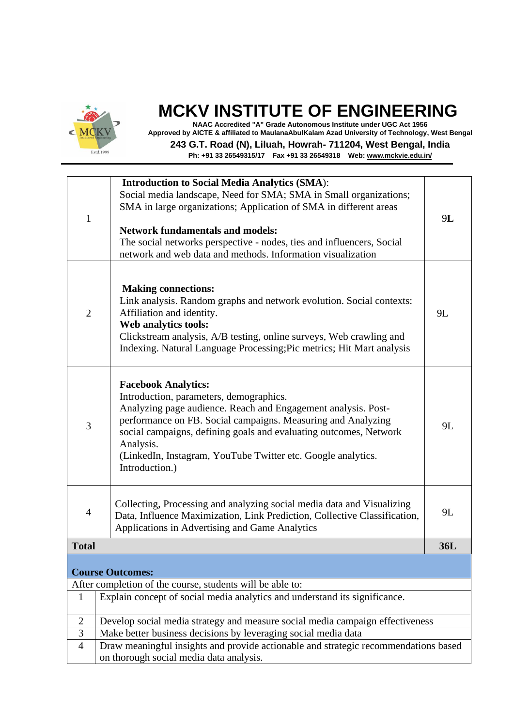

**NAAC Accredited "A" Grade Autonomous Institute under UGC Act 1956 Approved by AICTE & affiliated to MaulanaAbulKalam Azad University of Technology, West Bengal**

**243 G.T. Road (N), Liluah, Howrah- 711204, West Bengal, India**

| $\mathbf{1}$   | <b>Introduction to Social Media Analytics (SMA):</b><br>Social media landscape, Need for SMA; SMA in Small organizations;<br>SMA in large organizations; Application of SMA in different areas<br><b>Network fundamentals and models:</b><br>The social networks perspective - nodes, ties and influencers, Social<br>network and web data and methods. Information visualization | 9L  |  |  |
|----------------|-----------------------------------------------------------------------------------------------------------------------------------------------------------------------------------------------------------------------------------------------------------------------------------------------------------------------------------------------------------------------------------|-----|--|--|
| $\overline{2}$ | <b>Making connections:</b><br>Link analysis. Random graphs and network evolution. Social contexts:<br>Affiliation and identity.<br>Web analytics tools:<br>Clickstream analysis, A/B testing, online surveys, Web crawling and<br>Indexing. Natural Language Processing; Pic metrics; Hit Mart analysis                                                                           | 9L  |  |  |
| 3              | <b>Facebook Analytics:</b><br>Introduction, parameters, demographics.<br>Analyzing page audience. Reach and Engagement analysis. Post-<br>performance on FB. Social campaigns. Measuring and Analyzing<br>social campaigns, defining goals and evaluating outcomes, Network<br>Analysis.<br>(LinkedIn, Instagram, YouTube Twitter etc. Google analytics.<br>Introduction.)        | 9L  |  |  |
| $\overline{4}$ | Collecting, Processing and analyzing social media data and Visualizing<br>Data, Influence Maximization, Link Prediction, Collective Classification,<br>Applications in Advertising and Game Analytics                                                                                                                                                                             | 9L  |  |  |
| <b>Total</b>   |                                                                                                                                                                                                                                                                                                                                                                                   | 36L |  |  |
|                | <b>Course Outcomes:</b>                                                                                                                                                                                                                                                                                                                                                           |     |  |  |
|                | After completion of the course, students will be able to:                                                                                                                                                                                                                                                                                                                         |     |  |  |
| 1              | Explain concept of social media analytics and understand its significance.                                                                                                                                                                                                                                                                                                        |     |  |  |
| $\overline{2}$ | Develop social media strategy and measure social media campaign effectiveness                                                                                                                                                                                                                                                                                                     |     |  |  |
| 3              | Make better business decisions by leveraging social media data                                                                                                                                                                                                                                                                                                                    |     |  |  |
|                | Draw meaningful insights and provide actionable and strategic recommendations based<br>$\overline{4}$<br>on thorough social media data analysis.                                                                                                                                                                                                                                  |     |  |  |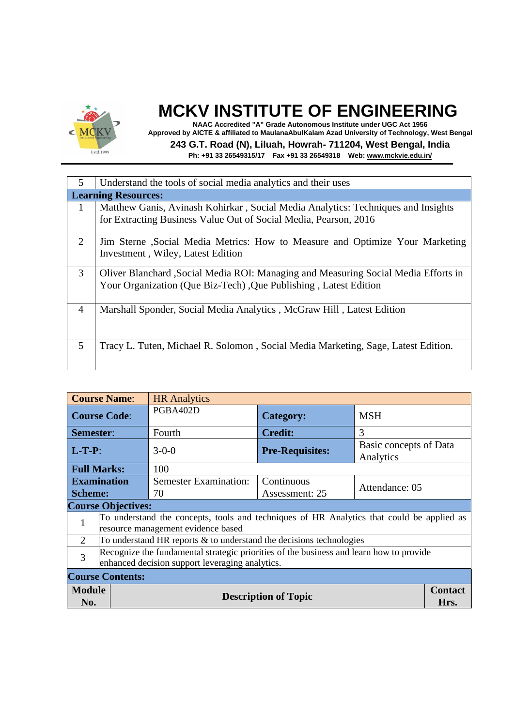

**NAAC Accredited "A" Grade Autonomous Institute under UGC Act 1956 Approved by AICTE & affiliated to MaulanaAbulKalam Azad University of Technology, West Bengal 243 G.T. Road (N), Liluah, Howrah- 711204, West Bengal, India**

| $\overline{5}$ | Understand the tools of social media analytics and their uses                                                                                          |  |  |  |
|----------------|--------------------------------------------------------------------------------------------------------------------------------------------------------|--|--|--|
|                | <b>Learning Resources:</b>                                                                                                                             |  |  |  |
| -1             | Matthew Ganis, Avinash Kohirkar, Social Media Analytics: Techniques and Insights<br>for Extracting Business Value Out of Social Media, Pearson, 2016   |  |  |  |
| 2              | Jim Sterne, Social Media Metrics: How to Measure and Optimize Your Marketing<br>Investment, Wiley, Latest Edition                                      |  |  |  |
| 3              | Oliver Blanchard, Social Media ROI: Managing and Measuring Social Media Efforts in<br>Your Organization (Que Biz-Tech), Que Publishing, Latest Edition |  |  |  |
| $\overline{4}$ | Marshall Sponder, Social Media Analytics, McGraw Hill, Latest Edition                                                                                  |  |  |  |
| 5              | Tracy L. Tuten, Michael R. Solomon, Social Media Marketing, Sage, Latest Edition.                                                                      |  |  |  |

|                             | <b>Course Name:</b><br><b>HR</b> Analytics                                                                                                 |                                                                        |                             |                                     |                        |
|-----------------------------|--------------------------------------------------------------------------------------------------------------------------------------------|------------------------------------------------------------------------|-----------------------------|-------------------------------------|------------------------|
| <b>Course Code:</b>         |                                                                                                                                            | PGBA402D                                                               | <b>Category:</b>            | <b>MSH</b>                          |                        |
| Semester:                   |                                                                                                                                            | Fourth                                                                 | <b>Credit:</b>              | $\mathcal{R}$                       |                        |
| $L-T-P$ :                   |                                                                                                                                            | $3-0-0$                                                                | <b>Pre-Requisites:</b>      | Basic concepts of Data<br>Analytics |                        |
|                             | <b>Full Marks:</b>                                                                                                                         | 100                                                                    |                             |                                     |                        |
| <b>Examination</b>          |                                                                                                                                            | <b>Semester Examination:</b>                                           | Continuous                  | Attendance: 05                      |                        |
| <b>Scheme:</b>              |                                                                                                                                            | 70                                                                     | Assessment: 25              |                                     |                        |
|                             | <b>Course Objectives:</b>                                                                                                                  |                                                                        |                             |                                     |                        |
| 1                           | To understand the concepts, tools and techniques of HR Analytics that could be applied as<br>resource management evidence based            |                                                                        |                             |                                     |                        |
| $\mathcal{D}_{\mathcal{L}}$ |                                                                                                                                            | To understand HR reports $\&$ to understand the decisions technologies |                             |                                     |                        |
| 3                           | Recognize the fundamental strategic priorities of the business and learn how to provide<br>enhanced decision support leveraging analytics. |                                                                        |                             |                                     |                        |
| <b>Course Contents:</b>     |                                                                                                                                            |                                                                        |                             |                                     |                        |
| <b>Module</b><br>No.        |                                                                                                                                            |                                                                        | <b>Description of Topic</b> |                                     | <b>Contact</b><br>Hrs. |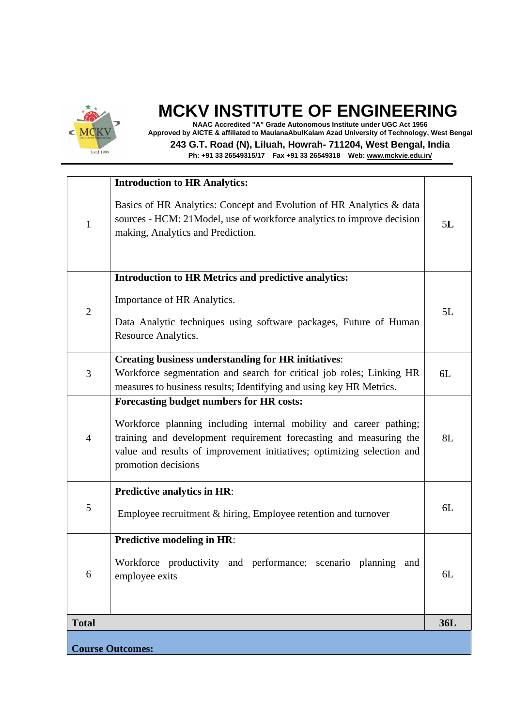

**NAAC Accredited "A" Grade Autonomous Institute under UGC Act 1956 Approved by AICTE & affiliated to MaulanaAbulKalam Azad University of Technology, West Bengal 243 G.T. Road (N), Liluah, Howrah- 711204, West Bengal, India**

|                | <b>Introduction to HR Analytics:</b>                                                                                                                                                                                                                                                  |            |
|----------------|---------------------------------------------------------------------------------------------------------------------------------------------------------------------------------------------------------------------------------------------------------------------------------------|------------|
| 1              | Basics of HR Analytics: Concept and Evolution of HR Analytics & data<br>sources - HCM: 21Model, use of workforce analytics to improve decision<br>making, Analytics and Prediction.                                                                                                   | 5L         |
|                | Introduction to HR Metrics and predictive analytics:                                                                                                                                                                                                                                  |            |
| $\mathbf{2}$   | Importance of HR Analytics.<br>Data Analytic techniques using software packages, Future of Human<br>Resource Analytics.                                                                                                                                                               | 5L         |
| 3              | <b>Creating business understanding for HR initiatives:</b><br>Workforce segmentation and search for critical job roles; Linking HR<br>measures to business results; Identifying and using key HR Metrics.                                                                             | 6L         |
| $\overline{4}$ | Forecasting budget numbers for HR costs:<br>Workforce planning including internal mobility and career pathing;<br>training and development requirement forecasting and measuring the<br>value and results of improvement initiatives; optimizing selection and<br>promotion decisions | 8L         |
| 5              | <b>Predictive analytics in HR:</b><br>Employee recruitment & hiring, Employee retention and turnover                                                                                                                                                                                  | 6L         |
| 6              | Predictive modeling in HR:<br>Workforce productivity and performance; scenario planning and<br>employee exits                                                                                                                                                                         | 6L         |
| <b>Total</b>   |                                                                                                                                                                                                                                                                                       | <b>36L</b> |
|                | <b>Course Outcomes:</b>                                                                                                                                                                                                                                                               |            |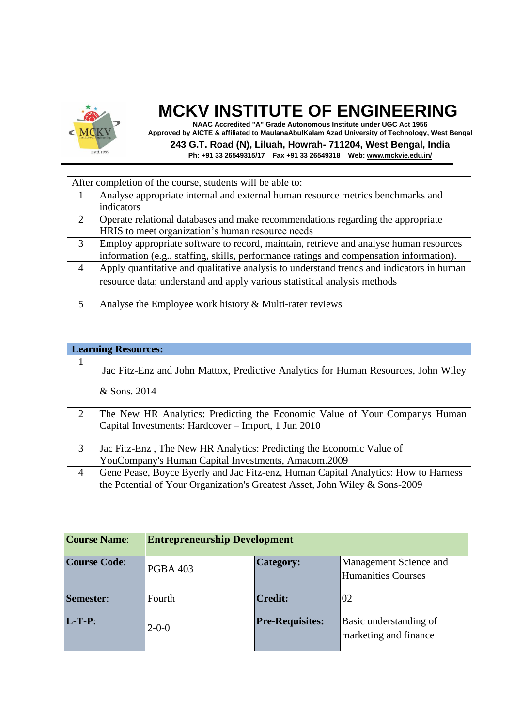

**NAAC Accredited "A" Grade Autonomous Institute under UGC Act 1956 Approved by AICTE & affiliated to MaulanaAbulKalam Azad University of Technology, West Bengal 243 G.T. Road (N), Liluah, Howrah- 711204, West Bengal, India Ph: +91 33 26549315/17 Fax +91 33 26549318 Web: [www.mckvie.edu.in/](http://www.mckvie.edu.in/)**

After completion of the course, students will be able to: 1 Analyse appropriate internal and external human resource metrics benchmarks and indicators 2 Operate relational databases and make recommendations regarding the appropriate HRIS to meet organization's human resource needs 3 Employ appropriate software to record, maintain, retrieve and analyse human resources information (e.g., staffing, skills, performance ratings and compensation information). 4 Apply quantitative and qualitative analysis to understand trends and indicators in human resource data; understand and apply various statistical analysis methods 5 Analyse the Employee work history & Multi-rater reviews **Learning Resources:**  1 Jac Fitz-Enz and John Mattox, Predictive Analytics for Human Resources, John Wiley & Sons. 2014 2 The New HR Analytics: Predicting the Economic Value of Your Companys Human Capital Investments: Hardcover – Import, 1 Jun 2010 3 Jac Fitz-Enz , The New HR Analytics: Predicting the Economic Value of YouCompany's Human Capital Investments, Amacom.2009 4 Gene Pease, Boyce Byerly and Jac Fitz-enz, Human Capital Analytics: How to Harness the Potential of Your Organization's Greatest Asset, John Wiley & Sons-2009

| <b>Course Name:</b> | <b>Entrepreneurship Development</b> |                        |                                                 |  |
|---------------------|-------------------------------------|------------------------|-------------------------------------------------|--|
| <b>Course Code:</b> | <b>PGBA 403</b>                     | Category:              | Management Science and<br>Humanities Courses    |  |
| Semester:           | Fourth                              | <b>Credit:</b>         | 02                                              |  |
| $L-T-P$ :           | $2 - 0 - 0$                         | <b>Pre-Requisites:</b> | Basic understanding of<br>marketing and finance |  |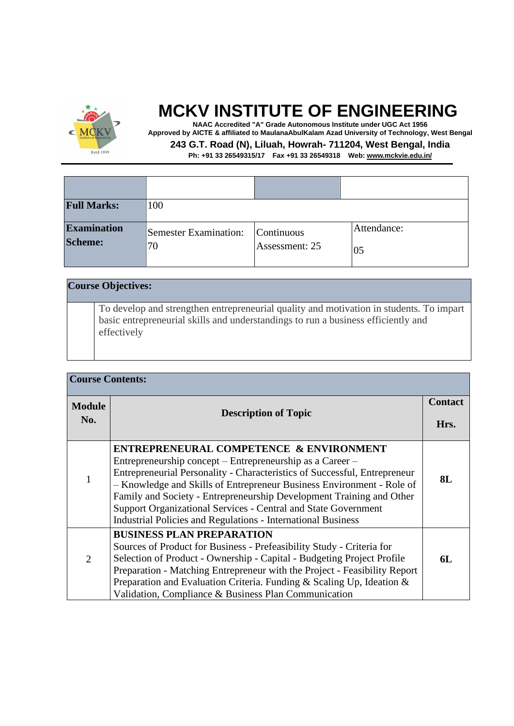

 $\mathbf{I}$ 

## **MCKV INSTITUTE OF ENGINEERING**

**NAAC Accredited "A" Grade Autonomous Institute under UGC Act 1956 Approved by AICTE & affiliated to MaulanaAbulKalam Azad University of Technology, West Bengal**

**243 G.T. Road (N), Liluah, Howrah- 711204, West Bengal, India**

| <b>Full Marks:</b>            | 100                                |                              |                   |
|-------------------------------|------------------------------------|------------------------------|-------------------|
| <b>Examination</b><br>Scheme: | <b>Semester Examination:</b><br>70 | Continuous<br>Assessment: 25 | Attendance:<br>05 |

|  | <b>Course Objectives:</b>                                                                                                                                                                   |
|--|---------------------------------------------------------------------------------------------------------------------------------------------------------------------------------------------|
|  | To develop and strengthen entrepreneurial quality and motivation in students. To impart<br>basic entrepreneurial skills and understandings to run a business efficiently and<br>effectively |

| <b>Course Contents:</b> |                                                                                                                                                                                                                                                                                                                                                                                                                                                                             |    |  |  |
|-------------------------|-----------------------------------------------------------------------------------------------------------------------------------------------------------------------------------------------------------------------------------------------------------------------------------------------------------------------------------------------------------------------------------------------------------------------------------------------------------------------------|----|--|--|
| <b>Module</b><br>No.    | <b>Description of Topic</b>                                                                                                                                                                                                                                                                                                                                                                                                                                                 |    |  |  |
|                         |                                                                                                                                                                                                                                                                                                                                                                                                                                                                             |    |  |  |
| 1                       | ENTREPRENEURAL COMPETENCE & ENVIRONMENT<br>Entrepreneurship concept – Entrepreneurship as a Career –<br>Entrepreneurial Personality - Characteristics of Successful, Entrepreneur<br>- Knowledge and Skills of Entrepreneur Business Environment - Role of<br>Family and Society - Entrepreneurship Development Training and Other<br>Support Organizational Services - Central and State Government<br><b>Industrial Policies and Regulations - International Business</b> |    |  |  |
| $\overline{2}$          | <b>BUSINESS PLAN PREPARATION</b><br>Sources of Product for Business - Prefeasibility Study - Criteria for<br>Selection of Product - Ownership - Capital - Budgeting Project Profile<br>Preparation - Matching Entrepreneur with the Project - Feasibility Report<br>Preparation and Evaluation Criteria. Funding & Scaling Up, Ideation &<br>Validation, Compliance & Business Plan Communication                                                                           | 6L |  |  |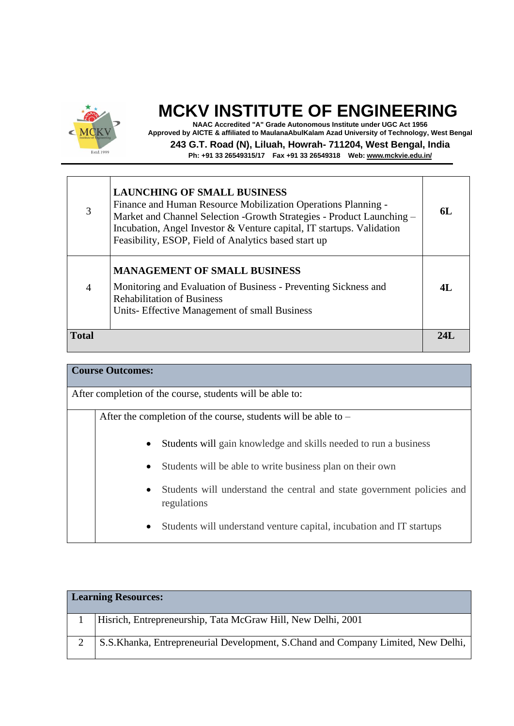

**NAAC Accredited "A" Grade Autonomous Institute under UGC Act 1956 Approved by AICTE & affiliated to MaulanaAbulKalam Azad University of Technology, West Bengal 243 G.T. Road (N), Liluah, Howrah- 711204, West Bengal, India**

| 3              | <b>LAUNCHING OF SMALL BUSINESS</b><br>Finance and Human Resource Mobilization Operations Planning -<br>Market and Channel Selection -Growth Strategies - Product Launching -<br>Incubation, Angel Investor & Venture capital, IT startups. Validation<br>Feasibility, ESOP, Field of Analytics based start up | 6L  |
|----------------|---------------------------------------------------------------------------------------------------------------------------------------------------------------------------------------------------------------------------------------------------------------------------------------------------------------|-----|
| $\overline{4}$ | <b>MANAGEMENT OF SMALL BUSINESS</b><br>Monitoring and Evaluation of Business - Preventing Sickness and<br><b>Rehabilitation of Business</b><br>Units- Effective Management of small Business                                                                                                                  | 4L  |
| <b>Total</b>   |                                                                                                                                                                                                                                                                                                               | 24I |

| <b>Course Outcomes:</b>                                                                            |  |  |  |  |
|----------------------------------------------------------------------------------------------------|--|--|--|--|
| After completion of the course, students will be able to:                                          |  |  |  |  |
| After the completion of the course, students will be able to $-$                                   |  |  |  |  |
| Students will gain knowledge and skills needed to run a business<br>$\bullet$                      |  |  |  |  |
| Students will be able to write business plan on their own<br>$\bullet$                             |  |  |  |  |
| Students will understand the central and state government policies and<br>$\bullet$<br>regulations |  |  |  |  |
| Students will understand venture capital, incubation and IT startups<br>$\bullet$                  |  |  |  |  |

| <b>Learning Resources:</b> |                                                                                    |  |  |
|----------------------------|------------------------------------------------------------------------------------|--|--|
|                            | Hisrich, Entrepreneurship, Tata McGraw Hill, New Delhi, 2001                       |  |  |
|                            | S.S. Khanka, Entrepreneurial Development, S. Chand and Company Limited, New Delhi, |  |  |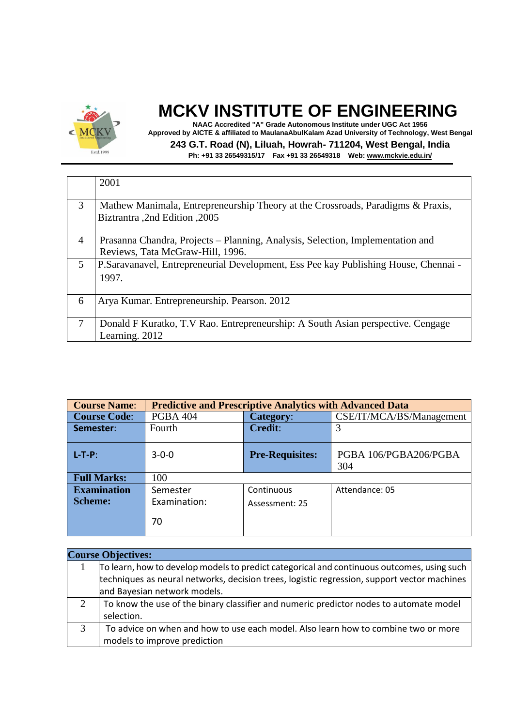

**NAAC Accredited "A" Grade Autonomous Institute under UGC Act 1956 Approved by AICTE & affiliated to MaulanaAbulKalam Azad University of Technology, West Bengal 243 G.T. Road (N), Liluah, Howrah- 711204, West Bengal, India**

|        | 2001                                                                                 |  |  |
|--------|--------------------------------------------------------------------------------------|--|--|
|        |                                                                                      |  |  |
|        |                                                                                      |  |  |
| 3      | Mathew Manimala, Entrepreneurship Theory at the Crossroads, Paradigms & Praxis,      |  |  |
|        |                                                                                      |  |  |
|        | Biztrantra ,2nd Edition ,2005                                                        |  |  |
|        |                                                                                      |  |  |
| 4      | Prasanna Chandra, Projects - Planning, Analysis, Selection, Implementation and       |  |  |
|        | Reviews, Tata McGraw-Hill, 1996.                                                     |  |  |
|        |                                                                                      |  |  |
| 5      | P. Saravanavel, Entrepreneurial Development, Ess Pee kay Publishing House, Chennai - |  |  |
|        | 1997.                                                                                |  |  |
|        |                                                                                      |  |  |
|        |                                                                                      |  |  |
| 6      | Arya Kumar. Entrepreneurship. Pearson. 2012                                          |  |  |
|        |                                                                                      |  |  |
|        |                                                                                      |  |  |
| $\tau$ | Donald F Kuratko, T.V Rao. Entrepreneurship: A South Asian perspective. Cengage      |  |  |
|        | Learning. 2012                                                                       |  |  |
|        |                                                                                      |  |  |

| <b>Course Name:</b> | <b>Predictive and Prescriptive Analytics with Advanced Data</b> |                        |                          |  |
|---------------------|-----------------------------------------------------------------|------------------------|--------------------------|--|
| <b>Course Code:</b> | <b>PGBA 404</b>                                                 | Category:              | CSE/IT/MCA/BS/Management |  |
| Semester:           | Fourth                                                          | <b>Credit:</b>         | 3                        |  |
|                     |                                                                 |                        |                          |  |
| $L-T-P$ :           | $3 - 0 - 0$                                                     | <b>Pre-Requisites:</b> | PGBA 106/PGBA206/PGBA    |  |
|                     |                                                                 |                        | 304                      |  |
| <b>Full Marks:</b>  | 100                                                             |                        |                          |  |
| <b>Examination</b>  | Semester                                                        | Continuous             | Attendance: 05           |  |
| <b>Scheme:</b>      | Examination:                                                    | Assessment: 25         |                          |  |
|                     | 70                                                              |                        |                          |  |

|               | <b>Course Objectives:</b>                                                                   |  |  |  |
|---------------|---------------------------------------------------------------------------------------------|--|--|--|
|               | To learn, how to develop models to predict categorical and continuous outcomes, using such  |  |  |  |
|               | techniques as neural networks, decision trees, logistic regression, support vector machines |  |  |  |
|               | and Bayesian network models.                                                                |  |  |  |
| $\mathcal{D}$ | To know the use of the binary classifier and numeric predictor nodes to automate model      |  |  |  |
|               | selection.                                                                                  |  |  |  |
| 3             | To advice on when and how to use each model. Also learn how to combine two or more          |  |  |  |
|               | models to improve prediction                                                                |  |  |  |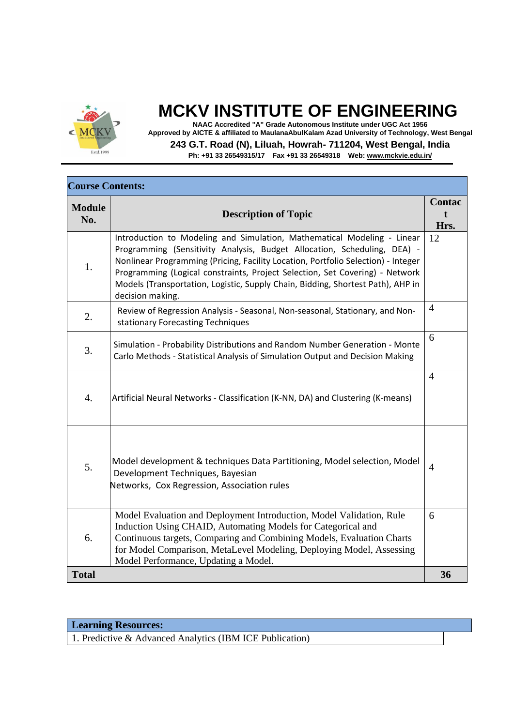

**NAAC Accredited "A" Grade Autonomous Institute under UGC Act 1956 Approved by AICTE & affiliated to MaulanaAbulKalam Azad University of Technology, West Bengal**

**243 G.T. Road (N), Liluah, Howrah- 711204, West Bengal, India**

**Ph: +91 33 26549315/17 Fax +91 33 26549318 Web: [www.mckvie.edu.in/](http://www.mckvie.edu.in/)**

| <b>Course Contents:</b> |                                                                                                                                                                                                                                                                                                                                                                                                                                 |                |  |
|-------------------------|---------------------------------------------------------------------------------------------------------------------------------------------------------------------------------------------------------------------------------------------------------------------------------------------------------------------------------------------------------------------------------------------------------------------------------|----------------|--|
| <b>Module</b><br>No.    | <b>Description of Topic</b>                                                                                                                                                                                                                                                                                                                                                                                                     |                |  |
| 1.                      | Introduction to Modeling and Simulation, Mathematical Modeling - Linear<br>Programming (Sensitivity Analysis, Budget Allocation, Scheduling, DEA) -<br>Nonlinear Programming (Pricing, Facility Location, Portfolio Selection) - Integer<br>Programming (Logical constraints, Project Selection, Set Covering) - Network<br>Models (Transportation, Logistic, Supply Chain, Bidding, Shortest Path), AHP in<br>decision making. | 12             |  |
| 2.                      | Review of Regression Analysis - Seasonal, Non-seasonal, Stationary, and Non-<br>stationary Forecasting Techniques                                                                                                                                                                                                                                                                                                               | $\overline{4}$ |  |
| 3.                      | Simulation - Probability Distributions and Random Number Generation - Monte<br>Carlo Methods - Statistical Analysis of Simulation Output and Decision Making                                                                                                                                                                                                                                                                    | 6              |  |
| $\overline{4}$ .        | Artificial Neural Networks - Classification (K-NN, DA) and Clustering (K-means)                                                                                                                                                                                                                                                                                                                                                 | $\overline{4}$ |  |
| 5.                      | Model development & techniques Data Partitioning, Model selection, Model<br>Development Techniques, Bayesian<br>Networks, Cox Regression, Association rules                                                                                                                                                                                                                                                                     | $\overline{4}$ |  |
| 6.                      | Model Evaluation and Deployment Introduction, Model Validation, Rule<br>Induction Using CHAID, Automating Models for Categorical and<br>Continuous targets, Comparing and Combining Models, Evaluation Charts<br>for Model Comparison, MetaLevel Modeling, Deploying Model, Assessing<br>Model Performance, Updating a Model.                                                                                                   | 6              |  |
| <b>Total</b>            |                                                                                                                                                                                                                                                                                                                                                                                                                                 | 36             |  |

| <b>Learning Resources:</b>                              |  |  |  |
|---------------------------------------------------------|--|--|--|
| 1 Predictive & Advanced Applytics (IRM ICE Publication) |  |  |  |

1. Predictive & Advanced Analytics (IBM ICE Publication)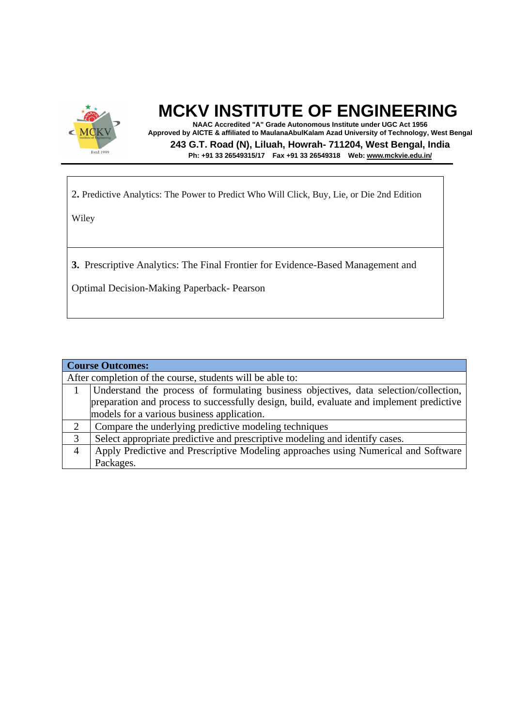

**NAAC Accredited "A" Grade Autonomous Institute under UGC Act 1956 Approved by AICTE & affiliated to MaulanaAbulKalam Azad University of Technology, West Bengal 243 G.T. Road (N), Liluah, Howrah- 711204, West Bengal, India Ph: +91 33 26549315/17 Fax +91 33 26549318 Web: [www.mckvie.edu.in/](http://www.mckvie.edu.in/)**

2**.** Predictive Analytics: The Power to Predict Who Will Click, Buy, Lie, or Die 2nd Edition

Wiley

**3.** Prescriptive Analytics: The Final Frontier for Evidence-Based Management and

Optimal Decision-Making Paperback- Pearson

| <b>Course Outcomes:</b> |                                                                                          |  |  |  |
|-------------------------|------------------------------------------------------------------------------------------|--|--|--|
|                         | After completion of the course, students will be able to:                                |  |  |  |
|                         | Understand the process of formulating business objectives, data selection/collection,    |  |  |  |
|                         | preparation and process to successfully design, build, evaluate and implement predictive |  |  |  |
|                         | models for a various business application.                                               |  |  |  |
| 2                       | Compare the underlying predictive modeling techniques                                    |  |  |  |
| 3                       | Select appropriate predictive and prescriptive modeling and identify cases.              |  |  |  |
| $\overline{4}$          | Apply Predictive and Prescriptive Modeling approaches using Numerical and Software       |  |  |  |
|                         | Packages.                                                                                |  |  |  |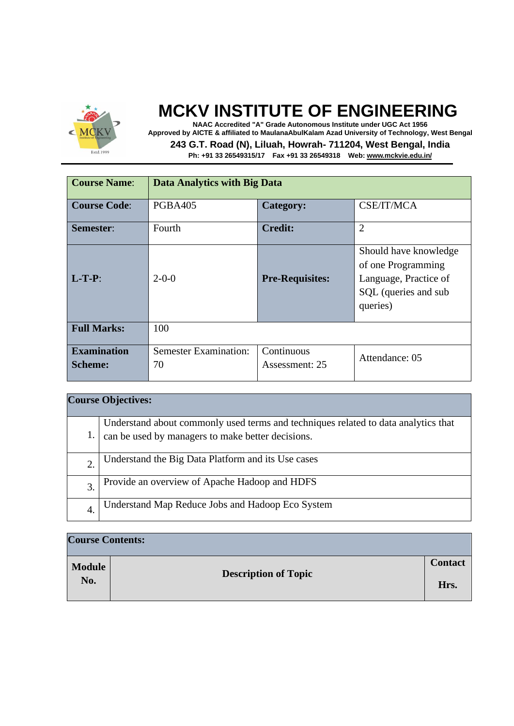

**NAAC Accredited "A" Grade Autonomous Institute under UGC Act 1956 Approved by AICTE & affiliated to MaulanaAbulKalam Azad University of Technology, West Bengal 243 G.T. Road (N), Liluah, Howrah- 711204, West Bengal, India**

| <b>Course Name:</b>                  | Data Analytics with Big Data       |                              |                                                                                                          |
|--------------------------------------|------------------------------------|------------------------------|----------------------------------------------------------------------------------------------------------|
| <b>Course Code:</b>                  | <b>PGBA405</b>                     | <b>Category:</b>             | CSE/IT/MCA                                                                                               |
| <b>Semester:</b>                     | Fourth                             | <b>Credit:</b>               | $\overline{2}$                                                                                           |
| $L-T-P:$                             | $2-0-0$                            | <b>Pre-Requisites:</b>       | Should have knowledge<br>of one Programming<br>Language, Practice of<br>SQL (queries and sub<br>queries) |
| <b>Full Marks:</b>                   | 100                                |                              |                                                                                                          |
| <b>Examination</b><br><b>Scheme:</b> | <b>Semester Examination:</b><br>70 | Continuous<br>Assessment: 25 | Attendance: 05                                                                                           |

| <b>Course Objectives:</b> |                                                                                    |  |  |
|---------------------------|------------------------------------------------------------------------------------|--|--|
|                           | Understand about commonly used terms and techniques related to data analytics that |  |  |
| $\mathbf{I}$              | can be used by managers to make better decisions.                                  |  |  |
| 2.                        | Understand the Big Data Platform and its Use cases                                 |  |  |
| $\mathfrak{Z}$ .          | Provide an overview of Apache Hadoop and HDFS                                      |  |  |
| 4.                        | Understand Map Reduce Jobs and Hadoop Eco System                                   |  |  |

| <b>Course Contents:</b> |                             |                |
|-------------------------|-----------------------------|----------------|
| <b>Module</b>           | <b>Description of Topic</b> | <b>Contact</b> |
| No.                     |                             | Hrs.           |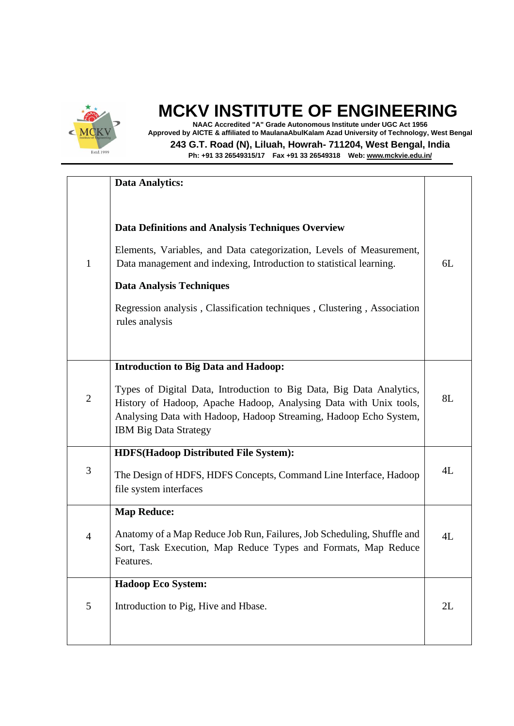

**NAAC Accredited "A" Grade Autonomous Institute under UGC Act 1956 Approved by AICTE & affiliated to MaulanaAbulKalam Azad University of Technology, West Bengal**

**243 G.T. Road (N), Liluah, Howrah- 711204, West Bengal, India**

|                | <b>Data Analytics:</b>                                                                                                                                                                                                                                                                                                           |    |
|----------------|----------------------------------------------------------------------------------------------------------------------------------------------------------------------------------------------------------------------------------------------------------------------------------------------------------------------------------|----|
| $\mathbf{1}$   | Data Definitions and Analysis Techniques Overview<br>Elements, Variables, and Data categorization, Levels of Measurement,<br>Data management and indexing, Introduction to statistical learning.<br><b>Data Analysis Techniques</b><br>Regression analysis, Classification techniques, Clustering, Association<br>rules analysis | 6L |
| $\mathbf{2}$   | <b>Introduction to Big Data and Hadoop:</b><br>Types of Digital Data, Introduction to Big Data, Big Data Analytics,<br>History of Hadoop, Apache Hadoop, Analysing Data with Unix tools,<br>Analysing Data with Hadoop, Hadoop Streaming, Hadoop Echo System,<br><b>IBM Big Data Strategy</b>                                    | 8L |
| 3              | <b>HDFS(Hadoop Distributed File System):</b><br>The Design of HDFS, HDFS Concepts, Command Line Interface, Hadoop<br>file system interfaces                                                                                                                                                                                      | 4L |
| $\overline{4}$ | <b>Map Reduce:</b><br>Anatomy of a Map Reduce Job Run, Failures, Job Scheduling, Shuffle and<br>Sort, Task Execution, Map Reduce Types and Formats, Map Reduce<br>Features.                                                                                                                                                      | 4L |
| 5              | Hadoop Eco System:<br>Introduction to Pig, Hive and Hbase.                                                                                                                                                                                                                                                                       | 2L |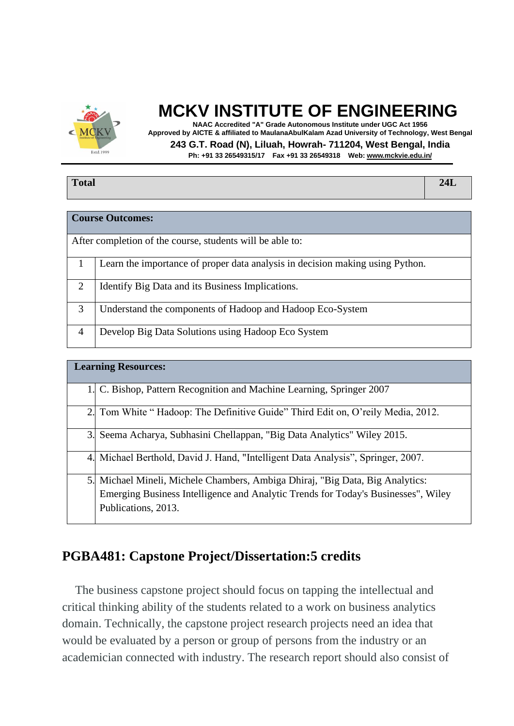

**NAAC Accredited "A" Grade Autonomous Institute under UGC Act 1956 Approved by AICTE & affiliated to MaulanaAbulKalam Azad University of Technology, West Bengal 243 G.T. Road (N), Liluah, Howrah- 711204, West Bengal, India**

**Ph: +91 33 26549315/17 Fax +91 33 26549318 Web: [www.mckvie.edu.in/](http://www.mckvie.edu.in/)**

| <b>Total</b>            | 24L |
|-------------------------|-----|
|                         |     |
| <b>Course Outcomes:</b> |     |

|   | After completion of the course, students will be able to:                     |
|---|-------------------------------------------------------------------------------|
|   |                                                                               |
|   | Learn the importance of proper data analysis in decision making using Python. |
| 2 | Identify Big Data and its Business Implications.                              |
| 3 | Understand the components of Hadoop and Hadoop Eco-System                     |
| 4 | Develop Big Data Solutions using Hadoop Eco System                            |

|                  | <b>Learning Resources:</b>                                                                                                                                                             |
|------------------|----------------------------------------------------------------------------------------------------------------------------------------------------------------------------------------|
|                  | 1. C. Bishop, Pattern Recognition and Machine Learning, Springer 2007                                                                                                                  |
| 2.               | Tom White "Hadoop: The Definitive Guide" Third Edit on, O'reily Media, 2012.                                                                                                           |
| 3.               | Seema Acharya, Subhasini Chellappan, "Big Data Analytics" Wiley 2015.                                                                                                                  |
| $\overline{4}$ . | Michael Berthold, David J. Hand, "Intelligent Data Analysis", Springer, 2007.                                                                                                          |
| 5.               | Michael Mineli, Michele Chambers, Ambiga Dhiraj, "Big Data, Big Analytics:<br>Emerging Business Intelligence and Analytic Trends for Today's Businesses", Wiley<br>Publications, 2013. |

#### **PGBA481: Capstone Project/Dissertation:5 credits**

 The business capstone project should focus on tapping the intellectual and critical thinking ability of the students related to a work on business analytics domain. Technically, the capstone project research projects need an idea that would be evaluated by a person or group of persons from the industry or an academician connected with industry. The research report should also consist of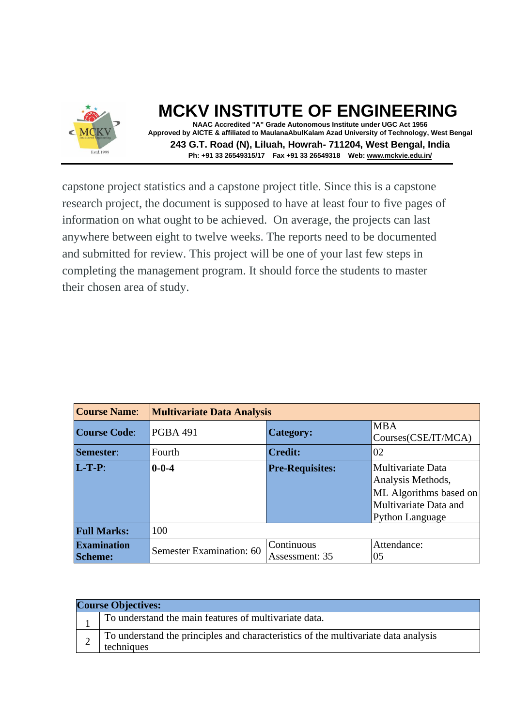

**NAAC Accredited "A" Grade Autonomous Institute under UGC Act 1956 Approved by AICTE & affiliated to MaulanaAbulKalam Azad University of Technology, West Bengal 243 G.T. Road (N), Liluah, Howrah- 711204, West Bengal, India Ph: +91 33 26549315/17 Fax +91 33 26549318 Web: [www.mckvie.edu.in/](http://www.mckvie.edu.in/)**

capstone project statistics and a capstone project title. Since this is a capstone research project, the document is supposed to have at least four to five pages of information on what ought to be achieved. On average, the projects can last anywhere between eight to twelve weeks. The reports need to be documented and submitted for review. This project will be one of your last few steps in completing the management program. It should force the students to master their chosen area of study.

| <b>Course Name:</b>                  | <b>Multivariate Data Analysis</b> |                              |                                                                                                                     |  |
|--------------------------------------|-----------------------------------|------------------------------|---------------------------------------------------------------------------------------------------------------------|--|
| <b>Course Code:</b>                  | <b>PGBA 491</b>                   | <b>Category:</b>             | <b>MBA</b><br>Courses(CSE/IT/MCA)                                                                                   |  |
| Semester:                            | Fourth                            | <b>Credit:</b>               | 02                                                                                                                  |  |
| $L-T-P$ :                            | $0 - 0 - 4$                       | <b>Pre-Requisites:</b>       | Multivariate Data<br>Analysis Methods,<br>ML Algorithms based on<br>Multivariate Data and<br><b>Python Language</b> |  |
| <b>Full Marks:</b>                   | 100                               |                              |                                                                                                                     |  |
| <b>Examination</b><br><b>Scheme:</b> | Semester Examination: 60          | Continuous<br>Assessment: 35 | Attendance:<br>05                                                                                                   |  |

| <b>Course Objectives:</b> |                                                                                                  |
|---------------------------|--------------------------------------------------------------------------------------------------|
|                           | To understand the main features of multivariate data.                                            |
|                           | To understand the principles and characteristics of the multivariate data analysis<br>techniques |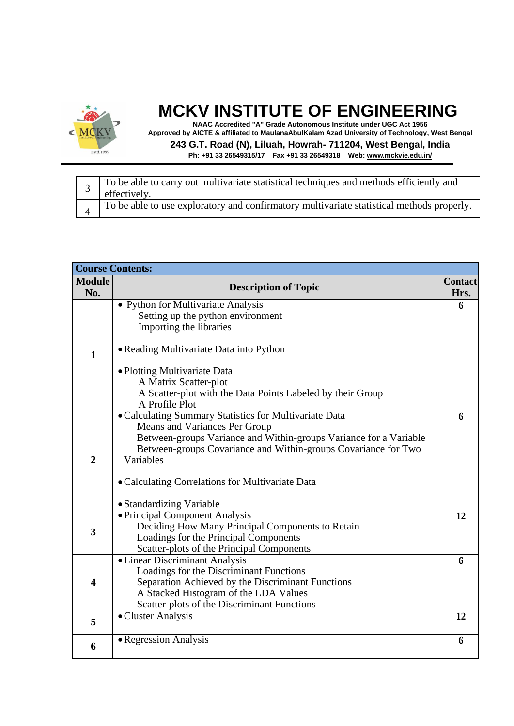

**NAAC Accredited "A" Grade Autonomous Institute under UGC Act 1956 Approved by AICTE & affiliated to MaulanaAbulKalam Azad University of Technology, West Bengal 243 G.T. Road (N), Liluah, Howrah- 711204, West Bengal, India**

| To be able to carry out multivariate statistical techniques and methods efficiently and<br>effectively. |
|---------------------------------------------------------------------------------------------------------|
| To be able to use exploratory and confirmatory multivariate statistical methods properly.               |

| <b>Course Contents:</b> |                                                                           |                |
|-------------------------|---------------------------------------------------------------------------|----------------|
| <b>Module</b>           | <b>Description of Topic</b>                                               | <b>Contact</b> |
| No.                     |                                                                           | Hrs.           |
|                         | • Python for Multivariate Analysis                                        | 6              |
|                         | Setting up the python environment                                         |                |
|                         | Importing the libraries                                                   |                |
|                         |                                                                           |                |
| $\mathbf{1}$            | • Reading Multivariate Data into Python                                   |                |
|                         | • Plotting Multivariate Data                                              |                |
|                         | A Matrix Scatter-plot                                                     |                |
|                         | A Scatter-plot with the Data Points Labeled by their Group                |                |
|                         | A Profile Plot                                                            |                |
|                         | • Calculating Summary Statistics for Multivariate Data                    | 6              |
|                         | Means and Variances Per Group                                             |                |
|                         | Between-groups Variance and Within-groups Variance for a Variable         |                |
|                         | Between-groups Covariance and Within-groups Covariance for Two            |                |
| $\overline{2}$          | Variables                                                                 |                |
|                         | • Calculating Correlations for Multivariate Data                          |                |
|                         |                                                                           |                |
|                         | • Standardizing Variable                                                  |                |
|                         | • Principal Component Analysis                                            | 12             |
| $\overline{\mathbf{3}}$ | Deciding How Many Principal Components to Retain                          |                |
|                         | Loadings for the Principal Components                                     |                |
|                         | Scatter-plots of the Principal Components                                 |                |
|                         | • Linear Discriminant Analysis<br>Loadings for the Discriminant Functions | 6              |
| 4                       | Separation Achieved by the Discriminant Functions                         |                |
|                         | A Stacked Histogram of the LDA Values                                     |                |
|                         | Scatter-plots of the Discriminant Functions                               |                |
|                         | • Cluster Analysis                                                        | 12             |
| 5                       |                                                                           |                |
|                         | • Regression Analysis                                                     | 6              |
| 6                       |                                                                           |                |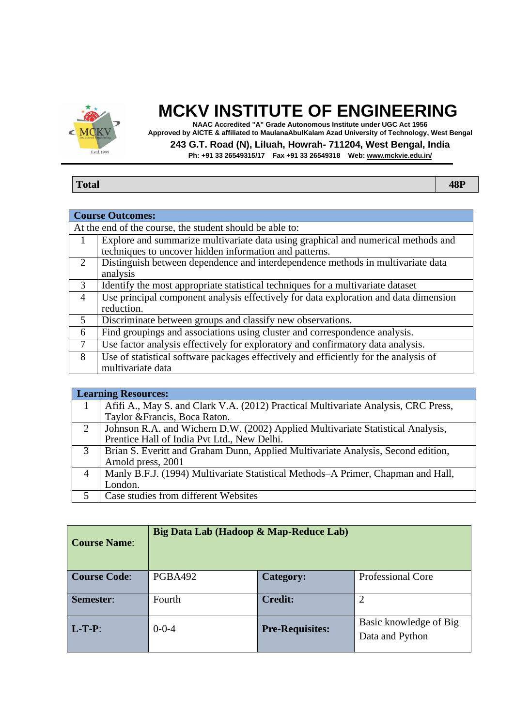

**NAAC Accredited "A" Grade Autonomous Institute under UGC Act 1956 Approved by AICTE & affiliated to MaulanaAbulKalam Azad University of Technology, West Bengal**

**243 G.T. Road (N), Liluah, Howrah- 711204, West Bengal, India**

|--|

|                | <b>Course Outcomes:</b>                                                              |  |  |
|----------------|--------------------------------------------------------------------------------------|--|--|
|                | At the end of the course, the student should be able to:                             |  |  |
|                | Explore and summarize multivariate data using graphical and numerical methods and    |  |  |
|                | techniques to uncover hidden information and patterns.                               |  |  |
| 2              | Distinguish between dependence and interdependence methods in multivariate data      |  |  |
|                | analysis                                                                             |  |  |
| 3              | Identify the most appropriate statistical techniques for a multivariate dataset      |  |  |
| $\overline{4}$ | Use principal component analysis effectively for data exploration and data dimension |  |  |
|                | reduction.                                                                           |  |  |
| 5              | Discriminate between groups and classify new observations.                           |  |  |
| 6              | Find groupings and associations using cluster and correspondence analysis.           |  |  |
| 7              | Use factor analysis effectively for exploratory and confirmatory data analysis.      |  |  |
| 8              | Use of statistical software packages effectively and efficiently for the analysis of |  |  |
|                | multivariate data                                                                    |  |  |

| <b>Learning Resources:</b> |                                                                                    |  |
|----------------------------|------------------------------------------------------------------------------------|--|
|                            | Afifi A., May S. and Clark V.A. (2012) Practical Multivariate Analysis, CRC Press, |  |
|                            | Taylor & Francis, Boca Raton.                                                      |  |
| 2                          | Johnson R.A. and Wichern D.W. (2002) Applied Multivariate Statistical Analysis,    |  |
|                            | Prentice Hall of India Pvt Ltd., New Delhi.                                        |  |
| 3                          | Brian S. Everitt and Graham Dunn, Applied Multivariate Analysis, Second edition,   |  |
|                            | Arnold press, 2001                                                                 |  |
| 4                          | Manly B.F.J. (1994) Multivariate Statistical Methods–A Primer, Chapman and Hall,   |  |
|                            | London.                                                                            |  |
|                            | Case studies from different Websites                                               |  |

| <b>Course Name:</b> | Big Data Lab (Hadoop & Map-Reduce Lab) |                        |                                           |
|---------------------|----------------------------------------|------------------------|-------------------------------------------|
| <b>Course Code:</b> | <b>PGBA492</b>                         | Category:              | <b>Professional Core</b>                  |
| Semester:           | Fourth                                 | <b>Credit:</b>         | $\overline{2}$                            |
| $L-T-P$ :           | $0 - 0 - 4$                            | <b>Pre-Requisites:</b> | Basic knowledge of Big<br>Data and Python |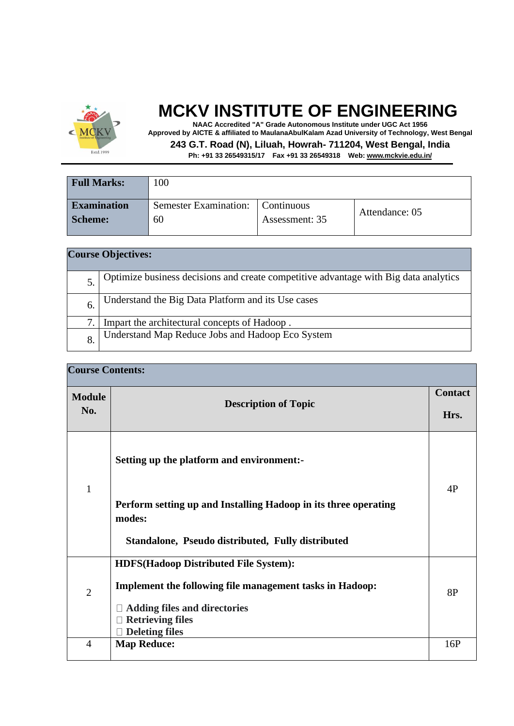

**NAAC Accredited "A" Grade Autonomous Institute under UGC Act 1956 Approved by AICTE & affiliated to MaulanaAbulKalam Azad University of Technology, West Bengal**

**243 G.T. Road (N), Liluah, Howrah- 711204, West Bengal, India**

| <b>Full Marks:</b> | 100                          |                           |                |
|--------------------|------------------------------|---------------------------|----------------|
| <b>Examination</b> | <b>Semester Examination:</b> | $\blacksquare$ Continuous | Attendance: 05 |
| <b>Scheme:</b>     | 60                           | Assessment: 35            |                |
|                    |                              |                           |                |

| <b>Course Objectives:</b> |                                                                                      |  |
|---------------------------|--------------------------------------------------------------------------------------|--|
|                           | Optimize business decisions and create competitive advantage with Big data analytics |  |
| 6.                        | Understand the Big Data Platform and its Use cases                                   |  |
|                           | Impart the architectural concepts of Hadoop.                                         |  |
| 8.                        | Understand Map Reduce Jobs and Hadoop Eco System                                     |  |

| <b>Course Contents:</b> |                                                                           |     |
|-------------------------|---------------------------------------------------------------------------|-----|
| <b>Module</b><br>No.    | <b>Description of Topic</b>                                               |     |
|                         |                                                                           |     |
|                         | Perform setting up and Installing Hadoop in its three operating<br>modes: |     |
|                         | Standalone, Pseudo distributed, Fully distributed                         |     |
|                         | <b>HDFS(Hadoop Distributed File System):</b>                              |     |
| $\overline{2}$          | <b>Implement the following file management tasks in Hadoop:</b>           | 8P  |
|                         | <b>Adding files and directories</b>                                       |     |
|                         | <b>Retrieving files</b><br><b>Deleting files</b>                          |     |
| $\overline{4}$          | <b>Map Reduce:</b>                                                        | 16P |
|                         |                                                                           |     |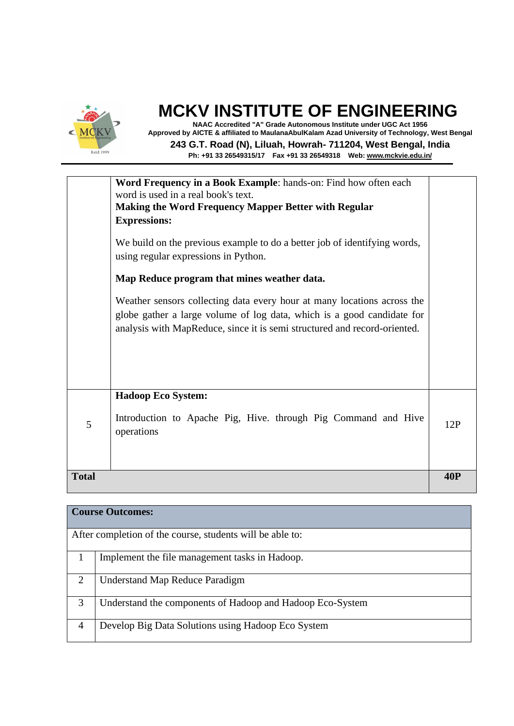

**NAAC Accredited "A" Grade Autonomous Institute under UGC Act 1956 Approved by AICTE & affiliated to MaulanaAbulKalam Azad University of Technology, West Bengal 243 G.T. Road (N), Liluah, Howrah- 711204, West Bengal, India Ph: +91 33 26549315/17 Fax +91 33 26549318 Web: [www.mckvie.edu.in/](http://www.mckvie.edu.in/)**

| <b>Total</b> |                                                                                                                                                                                                                                                                                                                                                                                                                                                                                          | <b>40P</b> |
|--------------|------------------------------------------------------------------------------------------------------------------------------------------------------------------------------------------------------------------------------------------------------------------------------------------------------------------------------------------------------------------------------------------------------------------------------------------------------------------------------------------|------------|
| 5            | <b>Hadoop Eco System:</b><br>Introduction to Apache Pig, Hive. through Pig Command and Hive<br>operations                                                                                                                                                                                                                                                                                                                                                                                | 12P        |
|              | <b>Making the Word Frequency Mapper Better with Regular</b><br><b>Expressions:</b><br>We build on the previous example to do a better job of identifying words,<br>using regular expressions in Python.<br>Map Reduce program that mines weather data.<br>Weather sensors collecting data every hour at many locations across the<br>globe gather a large volume of log data, which is a good candidate for<br>analysis with MapReduce, since it is semi structured and record-oriented. |            |
|              | Word Frequency in a Book Example: hands-on: Find how often each<br>word is used in a real book's text.                                                                                                                                                                                                                                                                                                                                                                                   |            |

| <b>Course Outcomes:</b> |                                                           |  |
|-------------------------|-----------------------------------------------------------|--|
|                         | After completion of the course, students will be able to: |  |
|                         | Implement the file management tasks in Hadoop.            |  |
| $\overline{2}$          | <b>Understand Map Reduce Paradigm</b>                     |  |
| 3                       | Understand the components of Hadoop and Hadoop Eco-System |  |
| $\overline{4}$          | Develop Big Data Solutions using Hadoop Eco System        |  |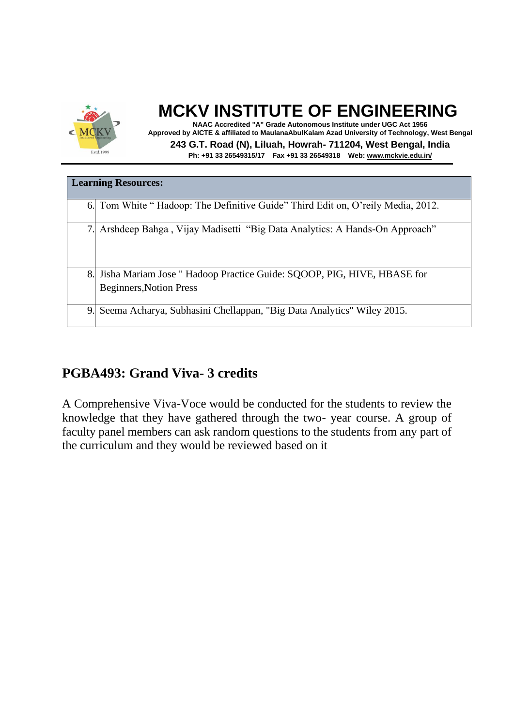

**NAAC Accredited "A" Grade Autonomous Institute under UGC Act 1956 Approved by AICTE & affiliated to MaulanaAbulKalam Azad University of Technology, West Bengal 243 G.T. Road (N), Liluah, Howrah- 711204, West Bengal, India Ph: +91 33 26549315/17 Fax +91 33 26549318 Web: [www.mckvie.edu.in/](http://www.mckvie.edu.in/)**

| <b>Learning Resources:</b> |                                                                                                          |  |
|----------------------------|----------------------------------------------------------------------------------------------------------|--|
|                            | 6. Tom White "Hadoop: The Definitive Guide" Third Edit on, O'reily Media, 2012.                          |  |
|                            | Arshdeep Bahga, Vijay Madisetti "Big Data Analytics: A Hands-On Approach"                                |  |
| 8.                         | Jisha Mariam Jose " Hadoop Practice Guide: SQOOP, PIG, HIVE, HBASE for<br><b>Beginners, Notion Press</b> |  |
| 9.                         | Seema Acharya, Subhasini Chellappan, "Big Data Analytics" Wiley 2015.                                    |  |

#### **PGBA493: Grand Viva- 3 credits**

A Comprehensive Viva-Voce would be conducted for the students to review the knowledge that they have gathered through the two- year course. A group of faculty panel members can ask random questions to the students from any part of the curriculum and they would be reviewed based on it